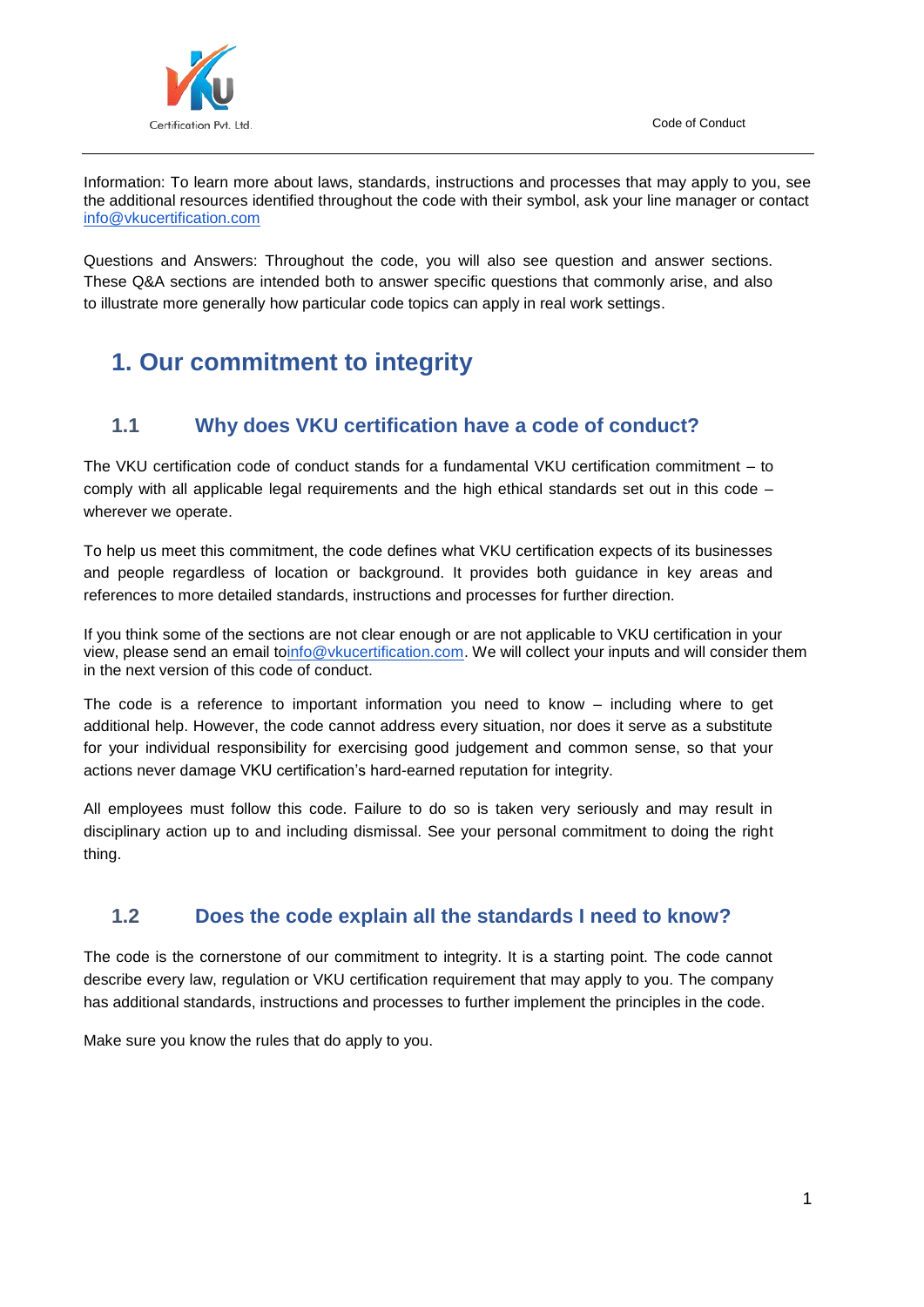

Information: To learn more about laws, standards, instructions and processes that may apply to you, see the additional resources identified throughout the code with their symbol, ask your line manager or contact [info@vkucertification.com](mailto:info@vkucertification.com)

Questions and Answers: Throughout the code, you will also see question and answer sections. These Q&A sections are intended both to answer specific questions that commonly arise, and also to illustrate more generally how particular code topics can apply in real work settings.

# **1. Our commitment to integrity**

### **1.1 Why does VKU certification have a code of conduct?**

The VKU certification code of conduct stands for a fundamental VKU certification commitment – to comply with all applicable legal requirements and the high ethical standards set out in this code – wherever we operate.

To help us meet this commitment, the code defines what VKU certification expects of its businesses and people regardless of location or background. It provides both guidance in key areas and references to more detailed standards, instructions and processes for further direction.

If you think some of the sections are not clear enough or are not applicable to VKU certification in your view, please send an email to info@vkucertification.com. We will collect your inputs and will consider them in the next version of this code of conduct.

The code is a reference to important information you need to know – including where to get additional help. However, the code cannot address every situation, nor does it serve as a substitute for your individual responsibility for exercising good judgement and common sense, so that your actions never damage VKU certification's hard-earned reputation for integrity.

All employees must follow this code. Failure to do so is taken very seriously and may result in disciplinary action up to and including dismissal. See your personal commitment to doing the right thing.

# **1.2 Does the code explain all the standards I need to know?**

The code is the cornerstone of our commitment to integrity. It is a starting point. The code cannot describe every law, regulation or VKU certification requirement that may apply to you. The company has additional standards, instructions and processes to further implement the principles in the code.

Make sure you know the rules that do apply to you.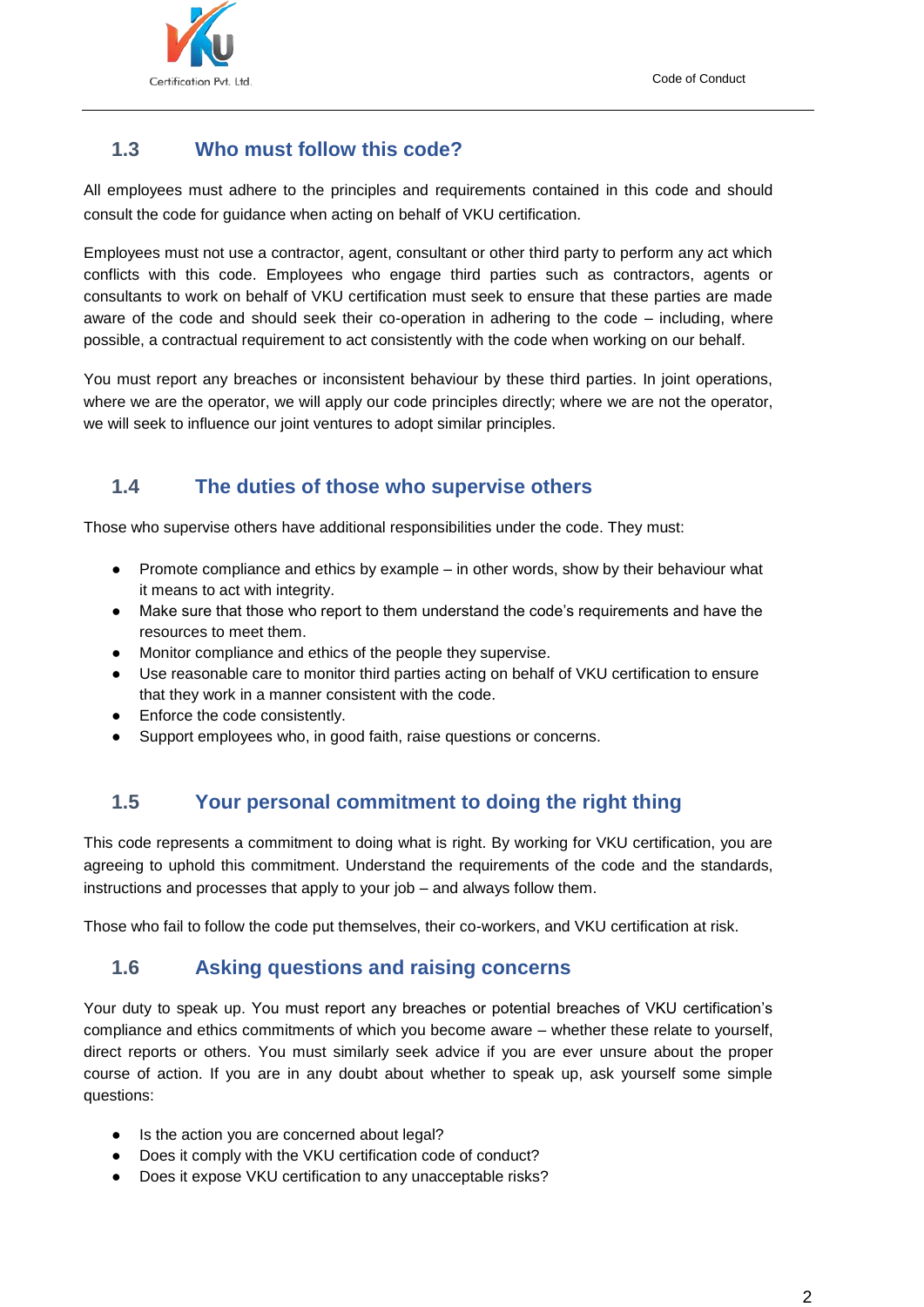

# **1.3 Who must follow this code?**

All employees must adhere to the principles and requirements contained in this code and should consult the code for guidance when acting on behalf of VKU certification.

Employees must not use a contractor, agent, consultant or other third party to perform any act which conflicts with this code. Employees who engage third parties such as contractors, agents or consultants to work on behalf of VKU certification must seek to ensure that these parties are made aware of the code and should seek their co-operation in adhering to the code – including, where possible, a contractual requirement to act consistently with the code when working on our behalf.

You must report any breaches or inconsistent behaviour by these third parties. In joint operations, where we are the operator, we will apply our code principles directly; where we are not the operator, we will seek to influence our joint ventures to adopt similar principles.

# **1.4 The duties of those who supervise others**

Those who supervise others have additional responsibilities under the code. They must:

- Promote compliance and ethics by example in other words, show by their behaviour what it means to act with integrity.
- Make sure that those who report to them understand the code's requirements and have the resources to meet them.
- Monitor compliance and ethics of the people they supervise.
- Use reasonable care to monitor third parties acting on behalf of VKU certification to ensure that they work in a manner consistent with the code.
- Enforce the code consistently.
- Support employees who, in good faith, raise questions or concerns.

# **1.5 Your personal commitment to doing the right thing**

This code represents a commitment to doing what is right. By working for VKU certification, you are agreeing to uphold this commitment. Understand the requirements of the code and the standards, instructions and processes that apply to your job – and always follow them.

Those who fail to follow the code put themselves, their co-workers, and VKU certification at risk.

### **1.6 Asking questions and raising concerns**

Your duty to speak up. You must report any breaches or potential breaches of VKU certification's compliance and ethics commitments of which you become aware – whether these relate to yourself, direct reports or others. You must similarly seek advice if you are ever unsure about the proper course of action. If you are in any doubt about whether to speak up, ask yourself some simple questions:

- Is the action you are concerned about legal?
- Does it comply with the VKU certification code of conduct?
- Does it expose VKU certification to any unacceptable risks?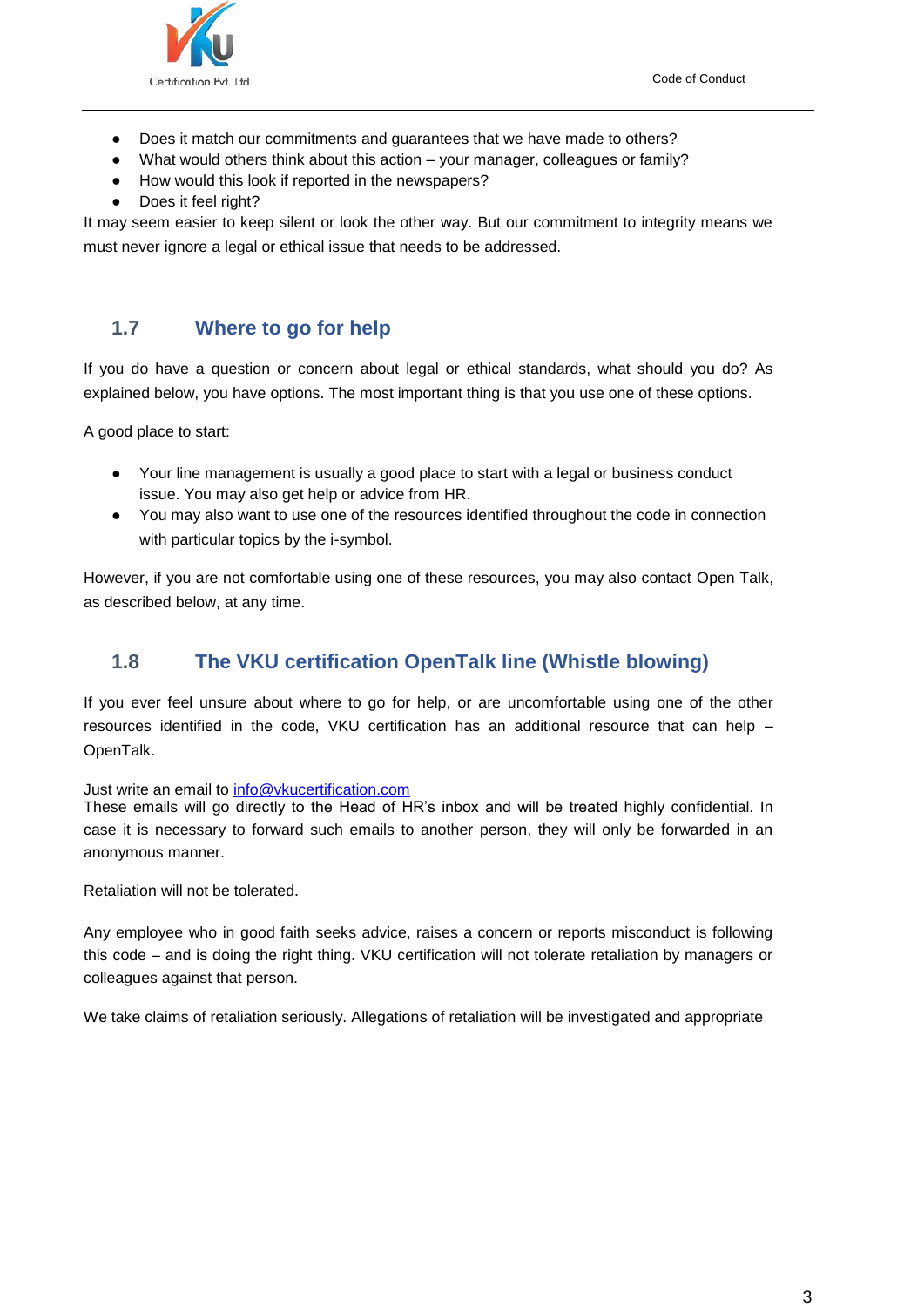

- Does it match our commitments and guarantees that we have made to others?
- What would others think about this action your manager, colleagues or family?
- How would this look if reported in the newspapers?
- Does it feel right?

It may seem easier to keep silent or look the other way. But our commitment to integrity means we must never ignore a legal or ethical issue that needs to be addressed.

# **1.7 Where to go for help**

If you do have a question or concern about legal or ethical standards, what should you do? As explained below, you have options. The most important thing is that you use one of these options.

A good place to start:

- Your line management is usually a good place to start with a legal or business conduct issue. You may also get help or advice from HR.
- You may also want to use one of the resources identified throughout the code in connection with particular topics by the i-symbol.

However, if you are not comfortable using one of these resources, you may also contact Open Talk, as described below, at any time.

# **1.8 The VKU certification OpenTalk line (Whistle blowing)**

If you ever feel unsure about where to go for help, or are uncomfortable using one of the other resources identified in the code, VKU certification has an additional resource that can help – OpenTalk.

Just write an email to [info@vkucertification.com](mailto:info@vkucertification.com)

These emails will go directly to the Head of HR's inbox and will be treated highly confidential. In case it is necessary to forward such emails to another person, they will only be forwarded in an anonymous manner.

Retaliation will not be tolerated.

Any employee who in good faith seeks advice, raises a concern or reports misconduct is following this code – and is doing the right thing. VKU certification will not tolerate retaliation by managers or colleagues against that person.

We take claims of retaliation seriously. Allegations of retaliation will be investigated and appropriate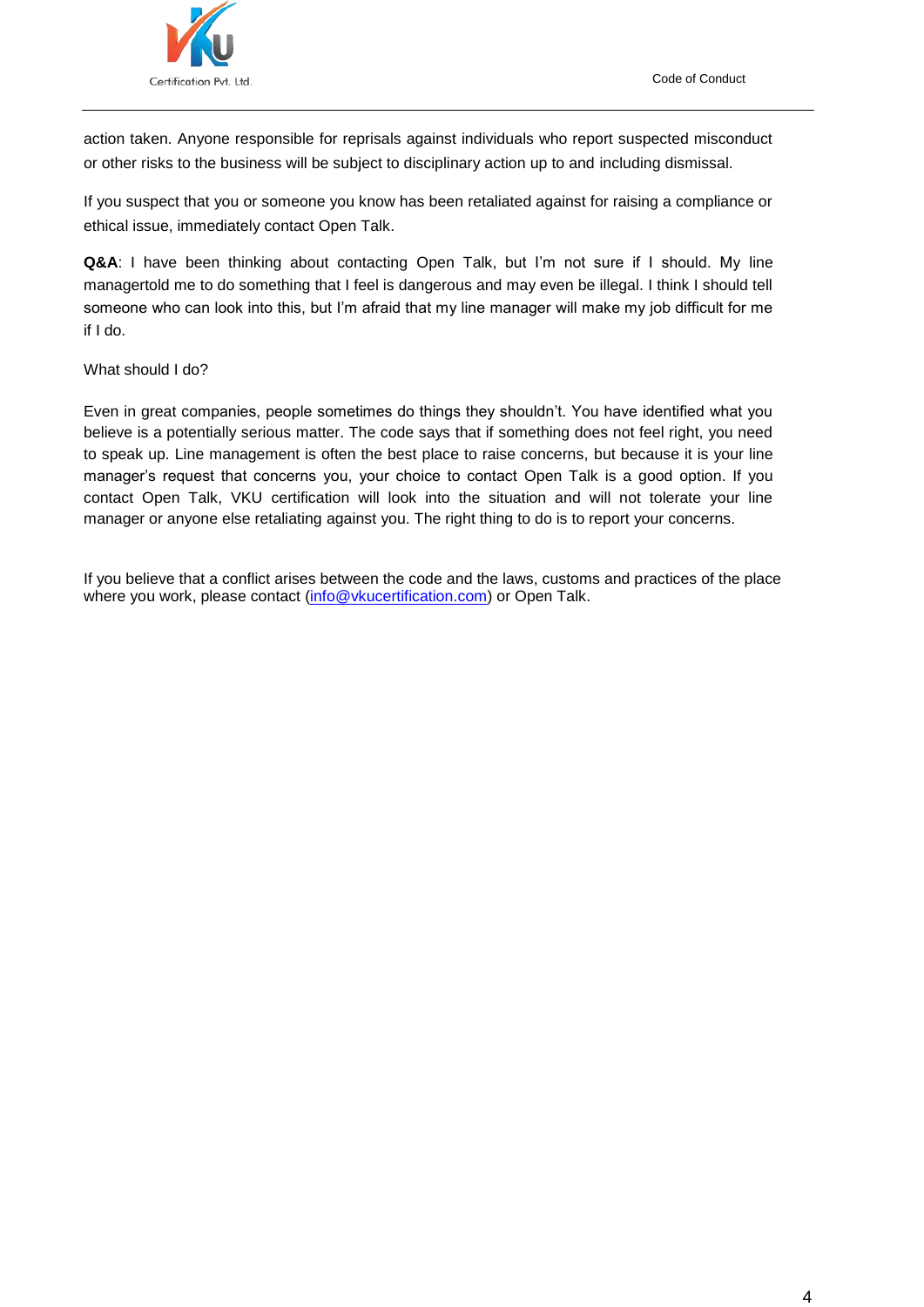

action taken. Anyone responsible for reprisals against individuals who report suspected misconduct or other risks to the business will be subject to disciplinary action up to and including dismissal.

If you suspect that you or someone you know has been retaliated against for raising a compliance or ethical issue, immediately contact Open Talk.

**Q&A**: I have been thinking about contacting Open Talk, but I'm not sure if I should. My line managertold me to do something that I feel is dangerous and may even be illegal. I think I should tell someone who can look into this, but I'm afraid that my line manager will make my job difficult for me if I do.

What should I do?

Even in great companies, people sometimes do things they shouldn't. You have identified what you believe is a potentially serious matter. The code says that if something does not feel right, you need to speak up. Line management is often the best place to raise concerns, but because it is your line manager's request that concerns you, your choice to contact Open Talk is a good option. If you contact Open Talk, VKU certification will look into the situation and will not tolerate your line manager or anyone else retaliating against you. The right thing to do is to report your concerns.

If you believe that a conflict arises between the code and the laws, customs and practices of the place where you work, please contact [\(info@vkucertification.com\)](mailto:info@vkucertification.com) or Open Talk.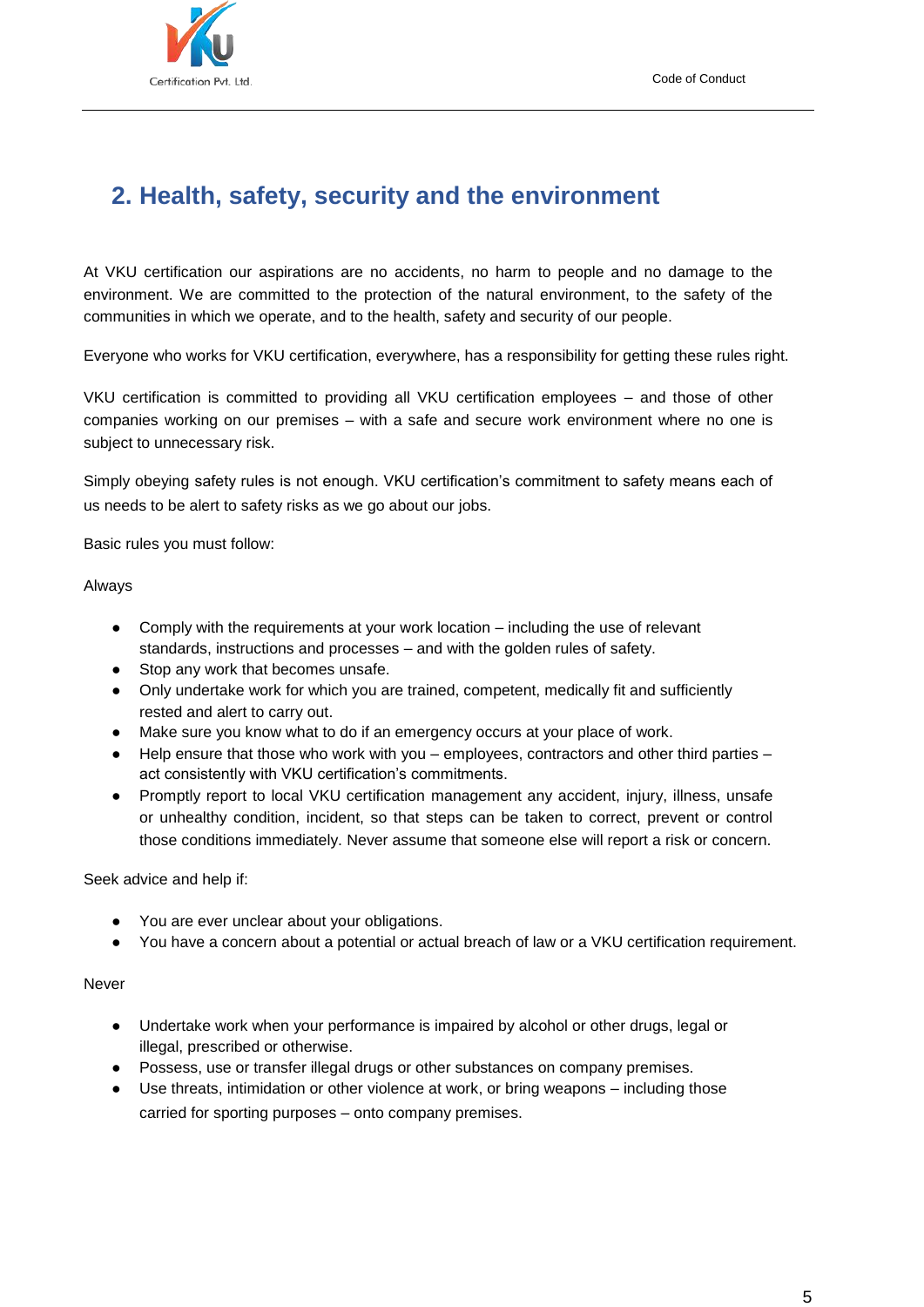

# **2. Health, safety, security and the environment**

At VKU certification our aspirations are no accidents, no harm to people and no damage to the environment. We are committed to the protection of the natural environment, to the safety of the communities in which we operate, and to the health, safety and security of our people.

Everyone who works for VKU certification, everywhere, has a responsibility for getting these rules right.

VKU certification is committed to providing all VKU certification employees – and those of other companies working on our premises – with a safe and secure work environment where no one is subject to unnecessary risk.

Simply obeying safety rules is not enough. VKU certification's commitment to safety means each of us needs to be alert to safety risks as we go about our jobs.

Basic rules you must follow:

#### Always

- Comply with the requirements at your work location including the use of relevant standards, instructions and processes – and with the golden rules of safety.
- Stop any work that becomes unsafe.
- Only undertake work for which you are trained, competent, medically fit and sufficiently rested and alert to carry out.
- Make sure you know what to do if an emergency occurs at your place of work.
- $\bullet$  Help ensure that those who work with you employees, contractors and other third parties act consistently with VKU certification's commitments.
- Promptly report to local VKU certification management any accident, injury, illness, unsafe or unhealthy condition, incident, so that steps can be taken to correct, prevent or control those conditions immediately. Never assume that someone else will report a risk or concern.

#### Seek advice and help if:

- You are ever unclear about your obligations.
- You have a concern about a potential or actual breach of law or a VKU certification requirement.

#### Never

- Undertake work when your performance is impaired by alcohol or other drugs, legal or illegal, prescribed or otherwise.
- Possess, use or transfer illegal drugs or other substances on company premises.
- Use threats, intimidation or other violence at work, or bring weapons including those carried for sporting purposes – onto company premises.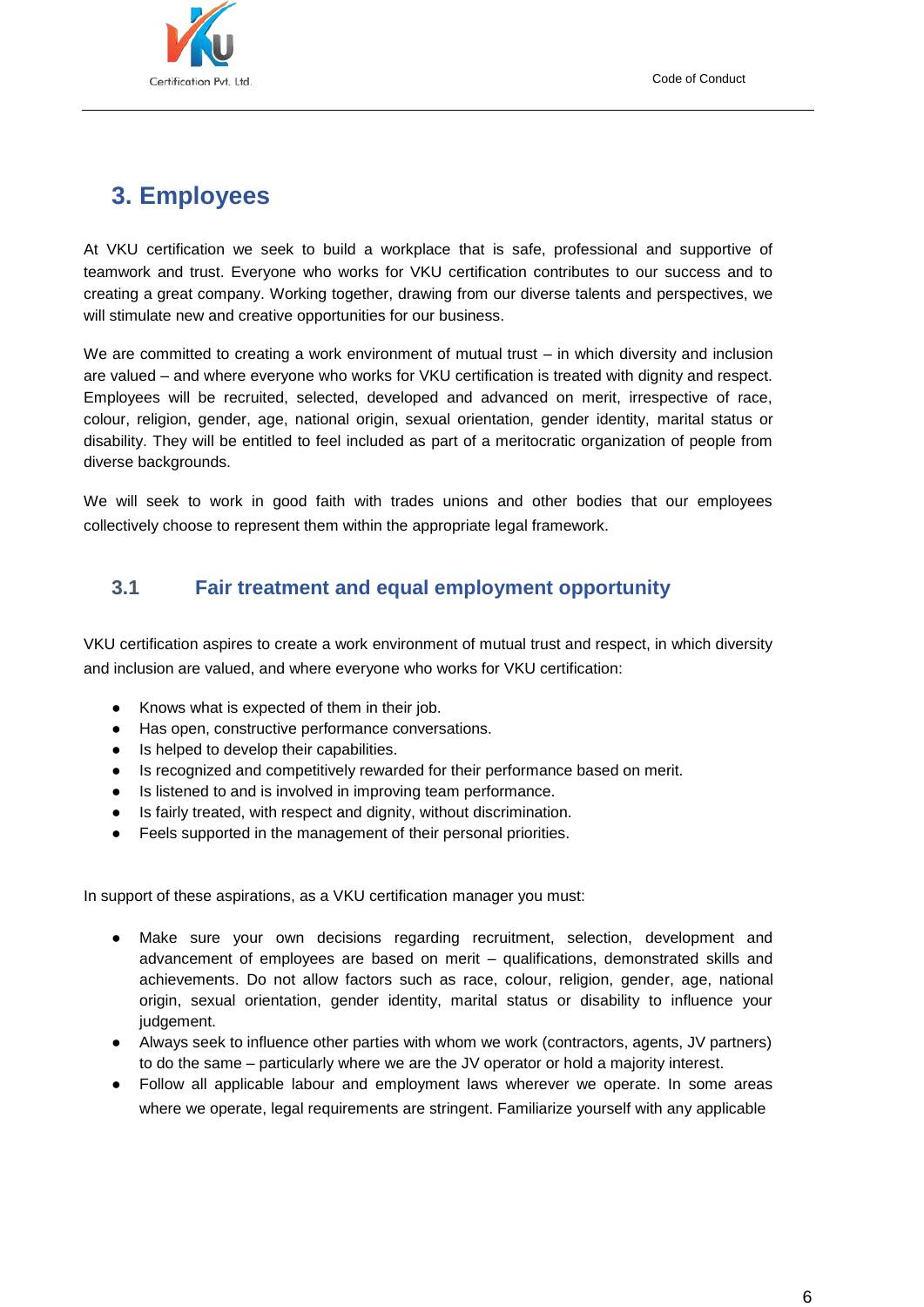

# **3. Employees**

At VKU certification we seek to build a workplace that is safe, professional and supportive of teamwork and trust. Everyone who works for VKU certification contributes to our success and to creating a great company. Working together, drawing from our diverse talents and perspectives, we will stimulate new and creative opportunities for our business.

We are committed to creating a work environment of mutual trust – in which diversity and inclusion are valued – and where everyone who works for VKU certification is treated with dignity and respect. Employees will be recruited, selected, developed and advanced on merit, irrespective of race, colour, religion, gender, age, national origin, sexual orientation, gender identity, marital status or disability. They will be entitled to feel included as part of a meritocratic organization of people from diverse backgrounds.

We will seek to work in good faith with trades unions and other bodies that our employees collectively choose to represent them within the appropriate legal framework.

### **3.1 Fair treatment and equal employment opportunity**

VKU certification aspires to create a work environment of mutual trust and respect, in which diversity and inclusion are valued, and where everyone who works for VKU certification:

- Knows what is expected of them in their job.
- Has open, constructive performance conversations.
- Is helped to develop their capabilities.
- Is recognized and competitively rewarded for their performance based on merit.
- Is listened to and is involved in improving team performance.
- Is fairly treated, with respect and dignity, without discrimination.
- Feels supported in the management of their personal priorities.

In support of these aspirations, as a VKU certification manager you must:

- Make sure your own decisions regarding recruitment, selection, development and advancement of employees are based on merit – qualifications, demonstrated skills and achievements. Do not allow factors such as race, colour, religion, gender, age, national origin, sexual orientation, gender identity, marital status or disability to influence your judgement.
- Always seek to influence other parties with whom we work (contractors, agents, JV partners) to do the same – particularly where we are the JV operator or hold a majority interest.
- Follow all applicable labour and employment laws wherever we operate. In some areas where we operate, legal requirements are stringent. Familiarize yourself with any applicable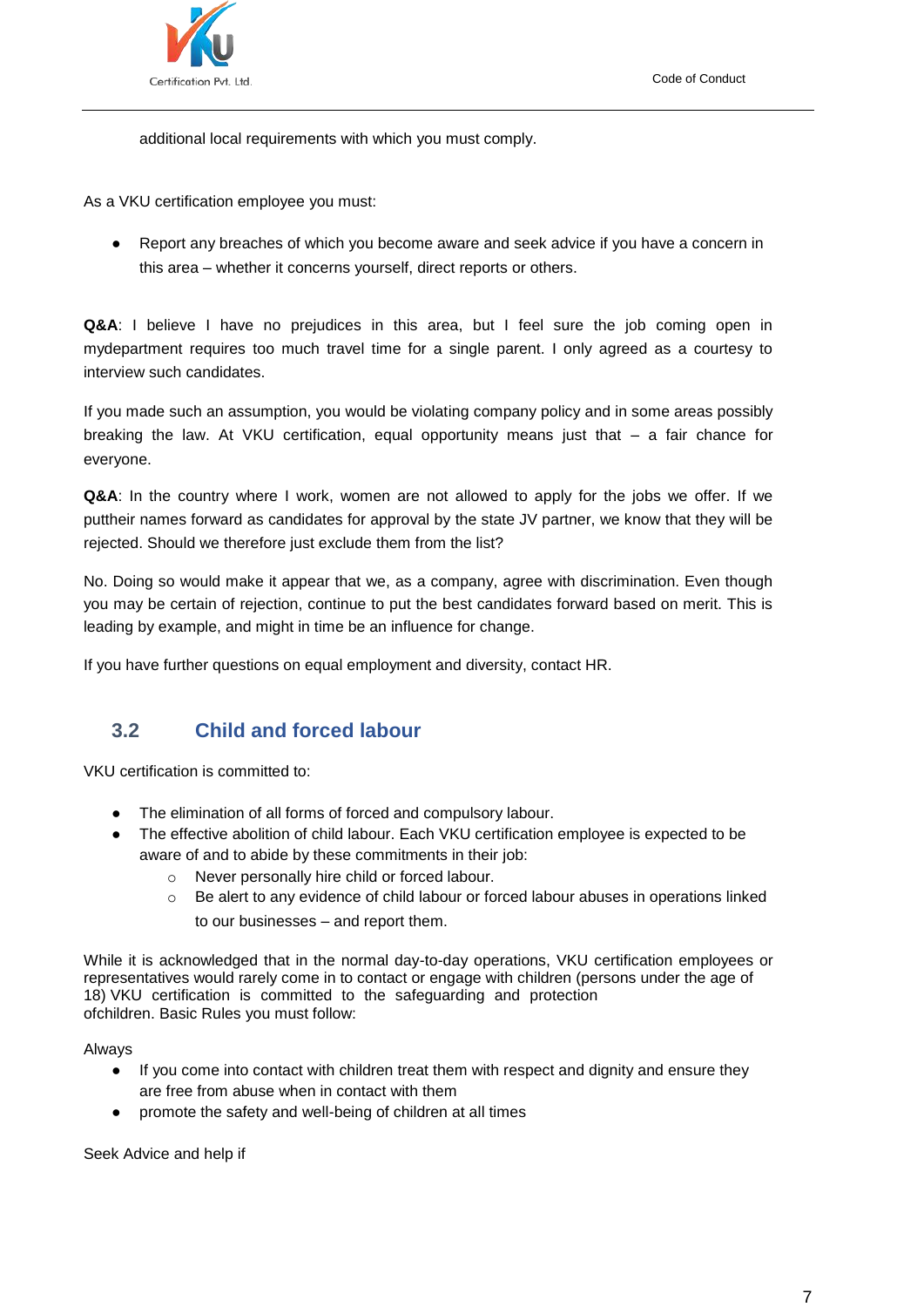

additional local requirements with which you must comply.

As a VKU certification employee you must:

Report any breaches of which you become aware and seek advice if you have a concern in this area – whether it concerns yourself, direct reports or others.

**Q&A**: I believe I have no prejudices in this area, but I feel sure the job coming open in mydepartment requires too much travel time for a single parent. I only agreed as a courtesy to interview such candidates.

If you made such an assumption, you would be violating company policy and in some areas possibly breaking the law. At VKU certification, equal opportunity means just that – a fair chance for everyone.

**Q&A**: In the country where I work, women are not allowed to apply for the jobs we offer. If we puttheir names forward as candidates for approval by the state JV partner, we know that they will be rejected. Should we therefore just exclude them from the list?

No. Doing so would make it appear that we, as a company, agree with discrimination. Even though you may be certain of rejection, continue to put the best candidates forward based on merit. This is leading by example, and might in time be an influence for change.

If you have further questions on equal employment and diversity, contact HR.

### **3.2 Child and forced labour**

VKU certification is committed to:

- The elimination of all forms of forced and compulsory labour.
- The effective abolition of child labour. Each VKU certification employee is expected to be aware of and to abide by these commitments in their job:
	- o Never personally hire child or forced labour.
	- $\circ$  Be alert to any evidence of child labour or forced labour abuses in operations linked to our businesses – and report them.

While it is acknowledged that in the normal day-to-day operations, VKU certification employees or representatives would rarely come in to contact or engage with children (persons under the age of 18) VKU certification is committed to the safeguarding and protection ofchildren. Basic Rules you must follow:

Always

- If you come into contact with children treat them with respect and dignity and ensure they are free from abuse when in contact with them
- promote the safety and well-being of children at all times

Seek Advice and help if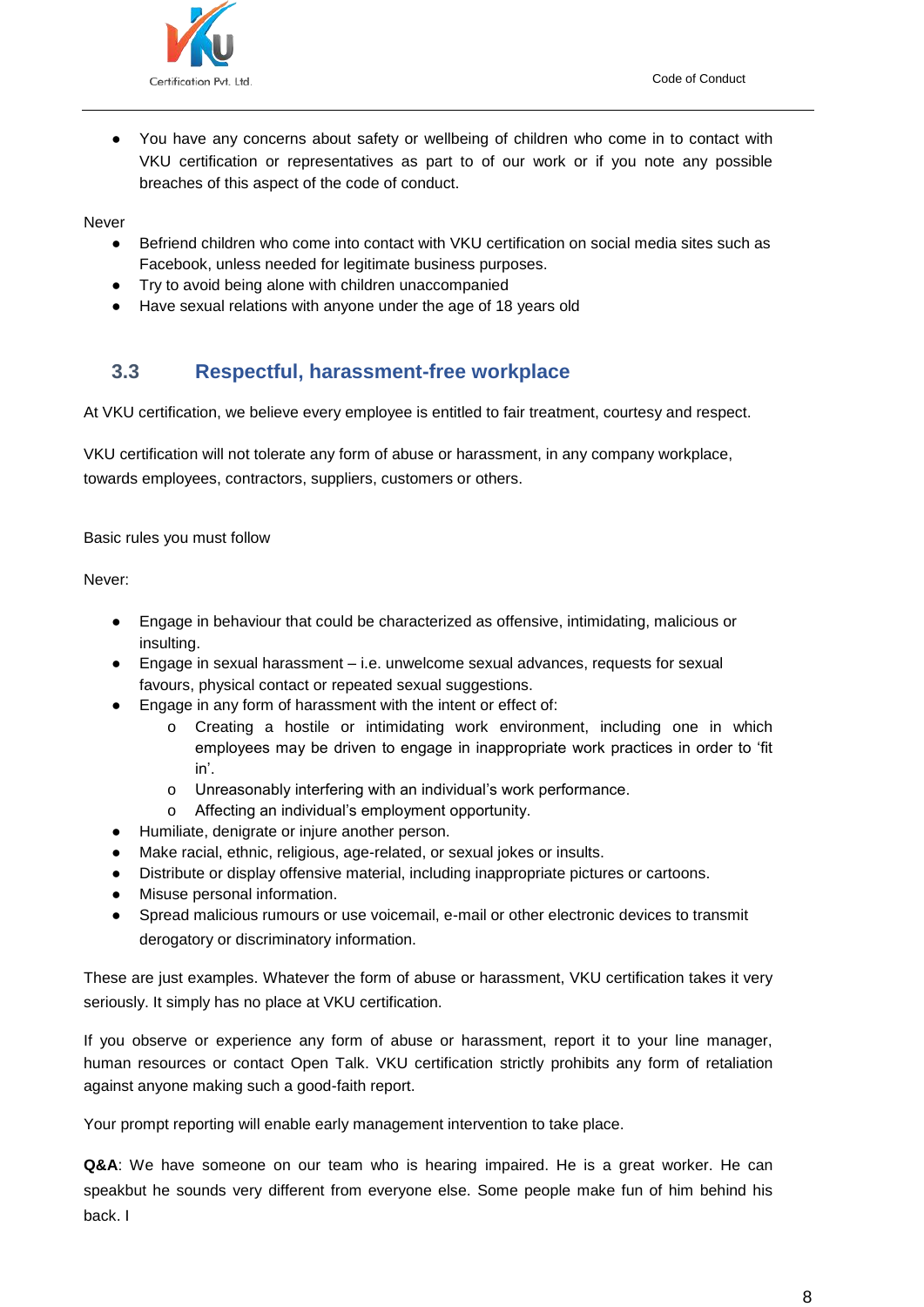



● You have any concerns about safety or wellbeing of children who come in to contact with VKU certification or representatives as part to of our work or if you note any possible breaches of this aspect of the code of conduct.

Never

- Befriend children who come into contact with VKU certification on social media sites such as Facebook, unless needed for legitimate business purposes.
- Try to avoid being alone with children unaccompanied
- Have sexual relations with anyone under the age of 18 years old

# **3.3 Respectful, harassment-free workplace**

At VKU certification, we believe every employee is entitled to fair treatment, courtesy and respect.

VKU certification will not tolerate any form of abuse or harassment, in any company workplace, towards employees, contractors, suppliers, customers or others.

Basic rules you must follow

Never:

- Engage in behaviour that could be characterized as offensive, intimidating, malicious or insulting.
- Engage in sexual harassment i.e. unwelcome sexual advances, requests for sexual favours, physical contact or repeated sexual suggestions.
- Engage in any form of harassment with the intent or effect of:
	- o Creating a hostile or intimidating work environment, including one in which employees may be driven to engage in inappropriate work practices in order to 'fit in'.
	- o Unreasonably interfering with an individual's work performance.
	- o Affecting an individual's employment opportunity.
- Humiliate, denigrate or injure another person.
- Make racial, ethnic, religious, age-related, or sexual jokes or insults.
- Distribute or display offensive material, including inappropriate pictures or cartoons.
- Misuse personal information.
- Spread malicious rumours or use voicemail, e-mail or other electronic devices to transmit derogatory or discriminatory information.

These are just examples. Whatever the form of abuse or harassment, VKU certification takes it very seriously. It simply has no place at VKU certification.

If you observe or experience any form of abuse or harassment, report it to your line manager, human resources or contact Open Talk. VKU certification strictly prohibits any form of retaliation against anyone making such a good-faith report.

Your prompt reporting will enable early management intervention to take place.

**Q&A**: We have someone on our team who is hearing impaired. He is a great worker. He can speakbut he sounds very different from everyone else. Some people make fun of him behind his back. I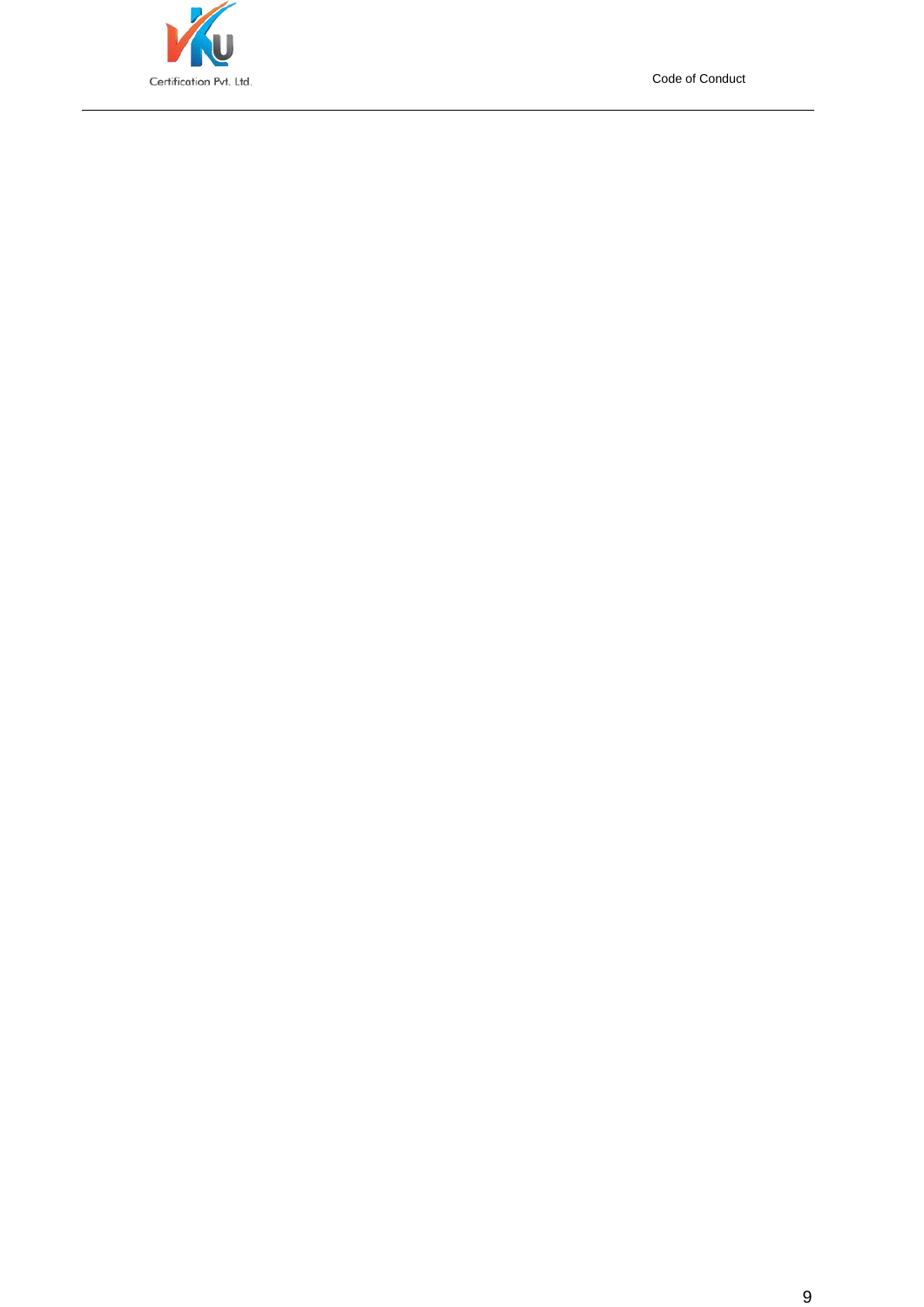

Code of Conduct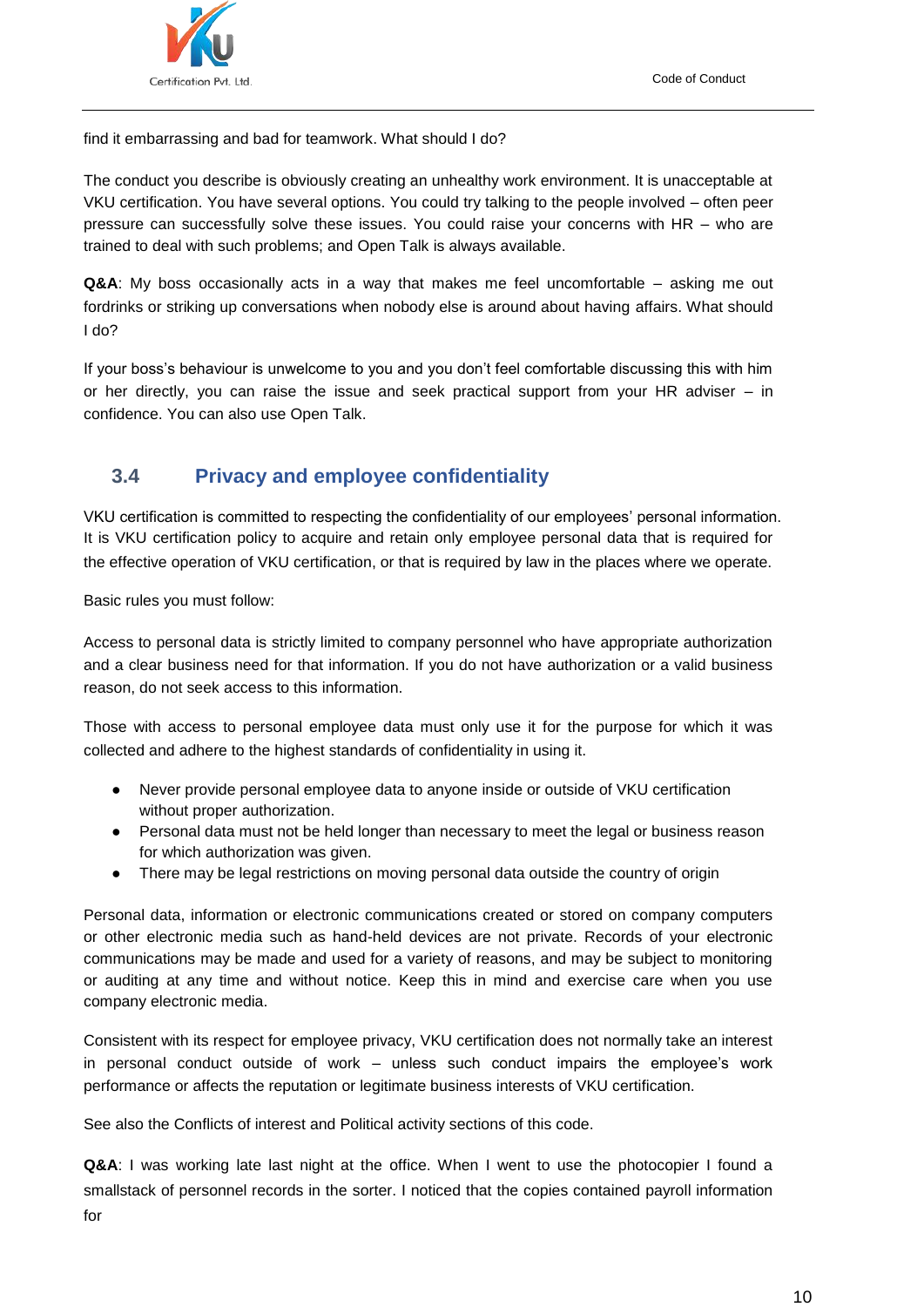

find it embarrassing and bad for teamwork. What should I do?

The conduct you describe is obviously creating an unhealthy work environment. It is unacceptable at VKU certification. You have several options. You could try talking to the people involved – often peer pressure can successfully solve these issues. You could raise your concerns with HR – who are trained to deal with such problems; and Open Talk is always available.

**Q&A**: My boss occasionally acts in a way that makes me feel uncomfortable – asking me out fordrinks or striking up conversations when nobody else is around about having affairs. What should I do?

If your boss's behaviour is unwelcome to you and you don't feel comfortable discussing this with him or her directly, you can raise the issue and seek practical support from your HR adviser – in confidence. You can also use Open Talk.

# **3.4 Privacy and employee confidentiality**

VKU certification is committed to respecting the confidentiality of our employees' personal information. It is VKU certification policy to acquire and retain only employee personal data that is required for the effective operation of VKU certification, or that is required by law in the places where we operate.

Basic rules you must follow:

Access to personal data is strictly limited to company personnel who have appropriate authorization and a clear business need for that information. If you do not have authorization or a valid business reason, do not seek access to this information.

Those with access to personal employee data must only use it for the purpose for which it was collected and adhere to the highest standards of confidentiality in using it.

- Never provide personal employee data to anyone inside or outside of VKU certification without proper authorization.
- Personal data must not be held longer than necessary to meet the legal or business reason for which authorization was given.
- There may be legal restrictions on moving personal data outside the country of origin

Personal data, information or electronic communications created or stored on company computers or other electronic media such as hand-held devices are not private. Records of your electronic communications may be made and used for a variety of reasons, and may be subject to monitoring or auditing at any time and without notice. Keep this in mind and exercise care when you use company electronic media.

Consistent with its respect for employee privacy, VKU certification does not normally take an interest in personal conduct outside of work – unless such conduct impairs the employee's work performance or affects the reputation or legitimate business interests of VKU certification.

See also the Conflicts of interest and Political activity sections of this code.

**Q&A**: I was working late last night at the office. When I went to use the photocopier I found a smallstack of personnel records in the sorter. I noticed that the copies contained payroll information for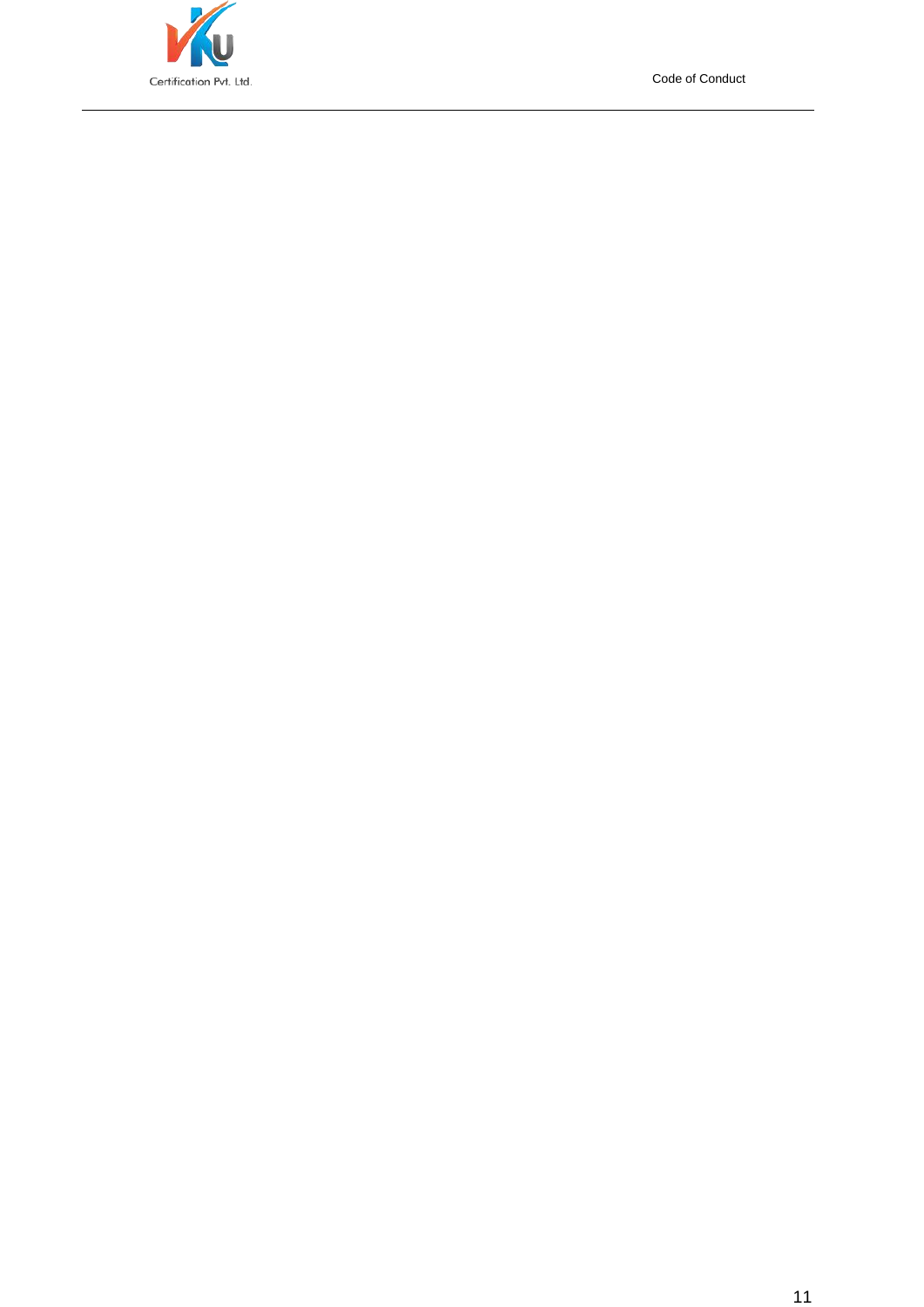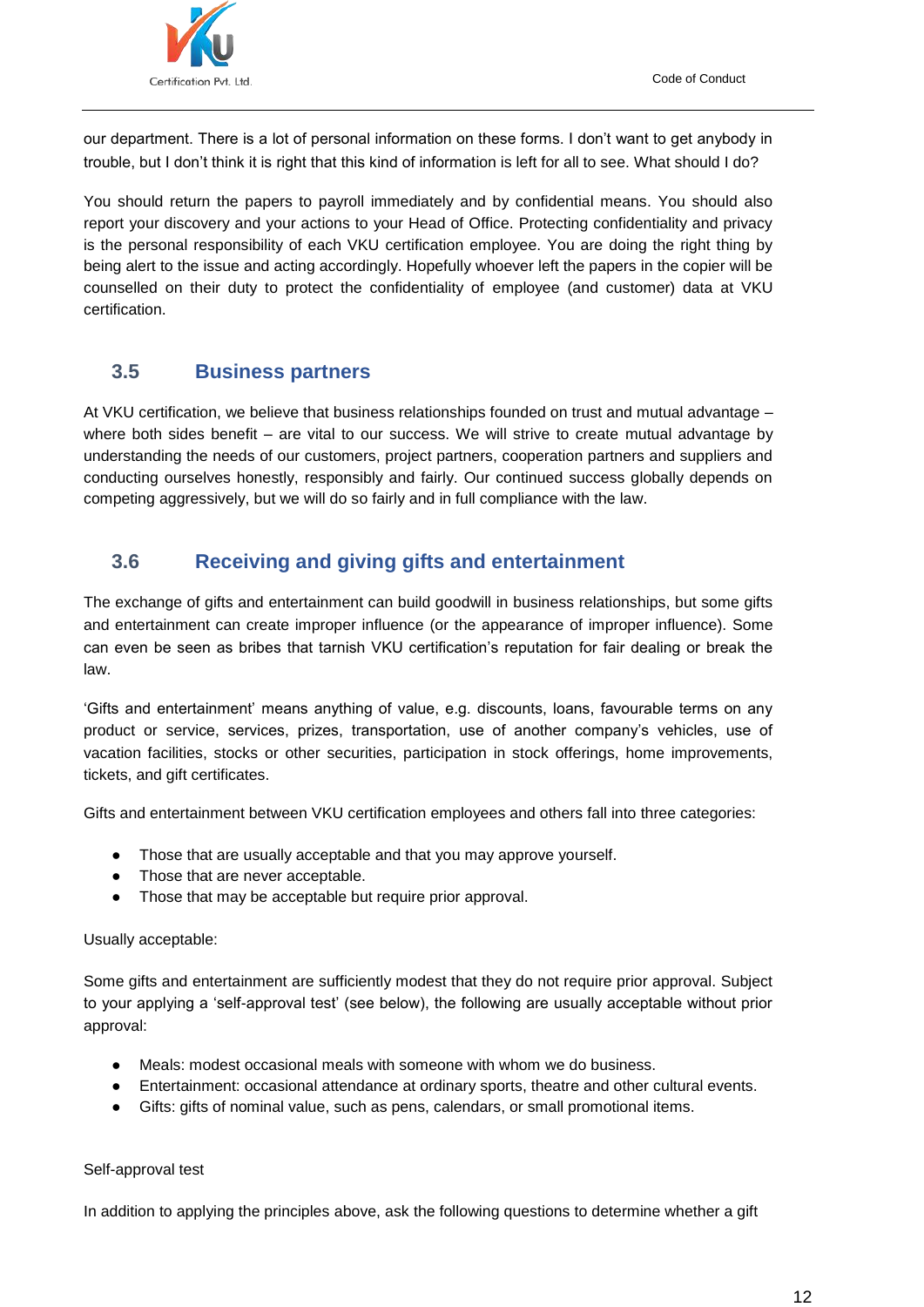

our department. There is a lot of personal information on these forms. I don't want to get anybody in trouble, but I don't think it is right that this kind of information is left for all to see. What should I do?

You should return the papers to payroll immediately and by confidential means. You should also report your discovery and your actions to your Head of Office. Protecting confidentiality and privacy is the personal responsibility of each VKU certification employee. You are doing the right thing by being alert to the issue and acting accordingly. Hopefully whoever left the papers in the copier will be counselled on their duty to protect the confidentiality of employee (and customer) data at VKU certification.

### **3.5 Business partners**

At VKU certification, we believe that business relationships founded on trust and mutual advantage – where both sides benefit – are vital to our success. We will strive to create mutual advantage by understanding the needs of our customers, project partners, cooperation partners and suppliers and conducting ourselves honestly, responsibly and fairly. Our continued success globally depends on competing aggressively, but we will do so fairly and in full compliance with the law.

# **3.6 Receiving and giving gifts and entertainment**

The exchange of gifts and entertainment can build goodwill in business relationships, but some gifts and entertainment can create improper influence (or the appearance of improper influence). Some can even be seen as bribes that tarnish VKU certification's reputation for fair dealing or break the law.

'Gifts and entertainment' means anything of value, e.g. discounts, loans, favourable terms on any product or service, services, prizes, transportation, use of another company's vehicles, use of vacation facilities, stocks or other securities, participation in stock offerings, home improvements, tickets, and gift certificates.

Gifts and entertainment between VKU certification employees and others fall into three categories:

- Those that are usually acceptable and that you may approve yourself.
- Those that are never acceptable.
- Those that may be acceptable but require prior approval.

#### Usually acceptable:

Some gifts and entertainment are sufficiently modest that they do not require prior approval. Subject to your applying a 'self-approval test' (see below), the following are usually acceptable without prior approval:

- Meals: modest occasional meals with someone with whom we do business.
- Entertainment: occasional attendance at ordinary sports, theatre and other cultural events.
- Gifts: gifts of nominal value, such as pens, calendars, or small promotional items.

#### Self-approval test

In addition to applying the principles above, ask the following questions to determine whether a gift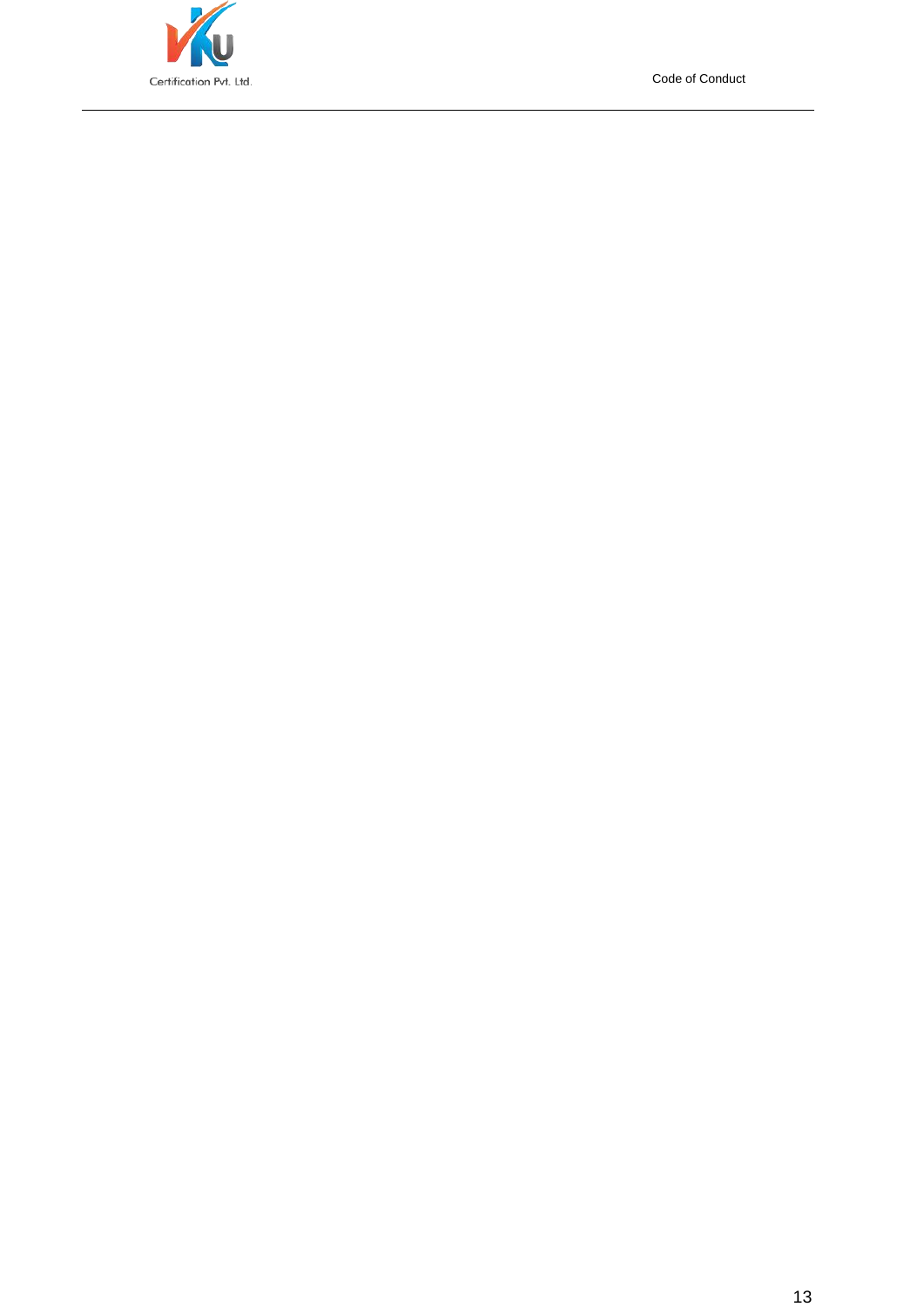

Code of Conduct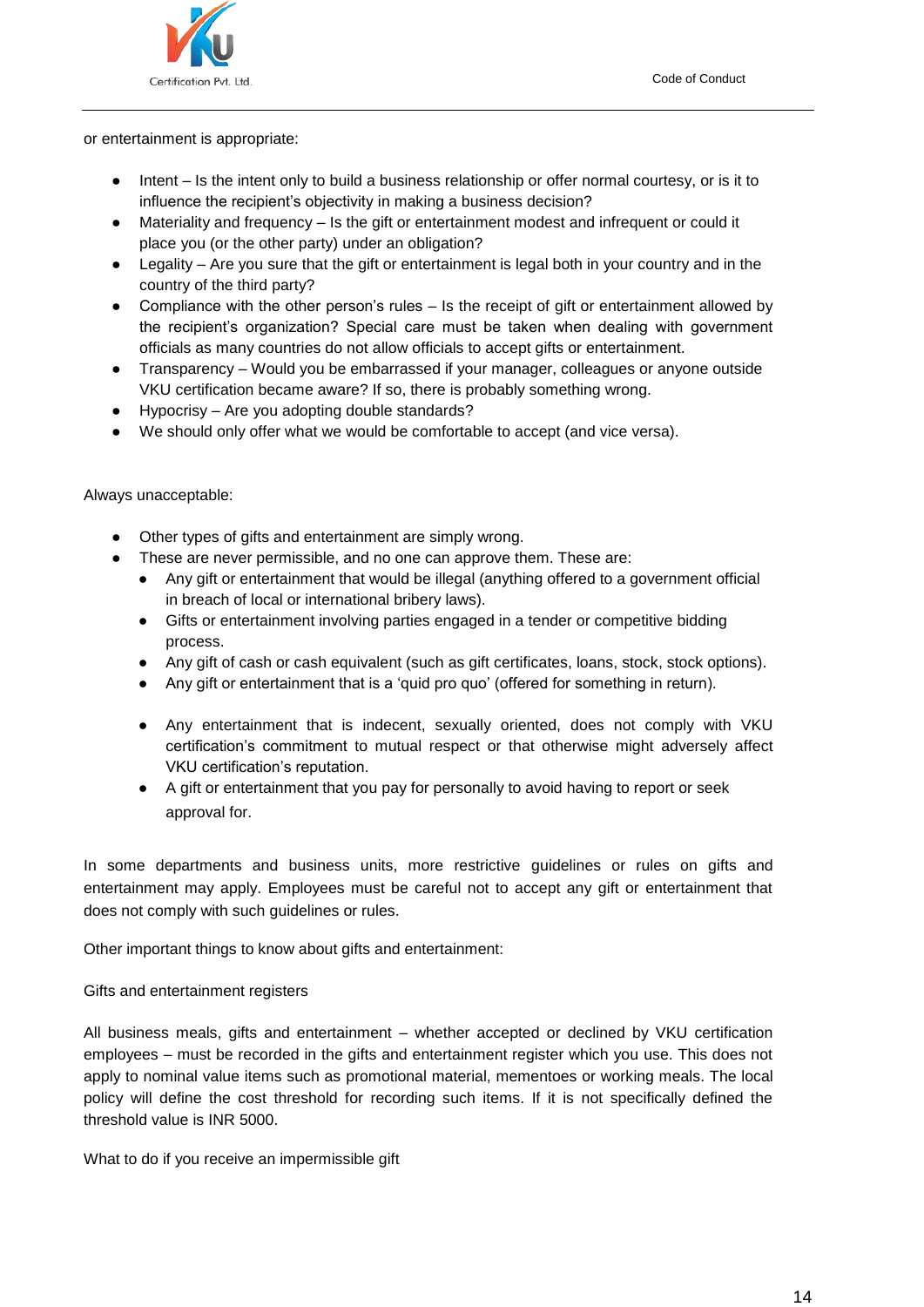

or entertainment is appropriate:

- Intent Is the intent only to build a business relationship or offer normal courtesy, or is it to influence the recipient's objectivity in making a business decision?
- Materiality and frequency Is the gift or entertainment modest and infrequent or could it place you (or the other party) under an obligation?
- Legality Are you sure that the gift or entertainment is legal both in your country and in the country of the third party?
- Compliance with the other person's rules Is the receipt of gift or entertainment allowed by the recipient's organization? Special care must be taken when dealing with government officials as many countries do not allow officials to accept gifts or entertainment.
- Transparency Would you be embarrassed if your manager, colleagues or anyone outside VKU certification became aware? If so, there is probably something wrong.
- Hypocrisy Are you adopting double standards?
- We should only offer what we would be comfortable to accept (and vice versa).

Always unacceptable:

- Other types of gifts and entertainment are simply wrong.
	- These are never permissible, and no one can approve them. These are:
		- Any gift or entertainment that would be illegal (anything offered to a government official in breach of local or international bribery laws).
		- Gifts or entertainment involving parties engaged in a tender or competitive bidding process.
		- Any gift of cash or cash equivalent (such as gift certificates, loans, stock, stock options).
		- Any gift or entertainment that is a 'quid pro quo' (offered for something in return).
		- Any entertainment that is indecent, sexually oriented, does not comply with VKU certification's commitment to mutual respect or that otherwise might adversely affect VKU certification's reputation.
		- A gift or entertainment that you pay for personally to avoid having to report or seek approval for.

In some departments and business units, more restrictive guidelines or rules on gifts and entertainment may apply. Employees must be careful not to accept any gift or entertainment that does not comply with such guidelines or rules.

Other important things to know about gifts and entertainment:

Gifts and entertainment registers

All business meals, gifts and entertainment – whether accepted or declined by VKU certification employees – must be recorded in the gifts and entertainment register which you use. This does not apply to nominal value items such as promotional material, mementoes or working meals. The local policy will define the cost threshold for recording such items. If it is not specifically defined the threshold value is INR 5000.

What to do if you receive an impermissible gift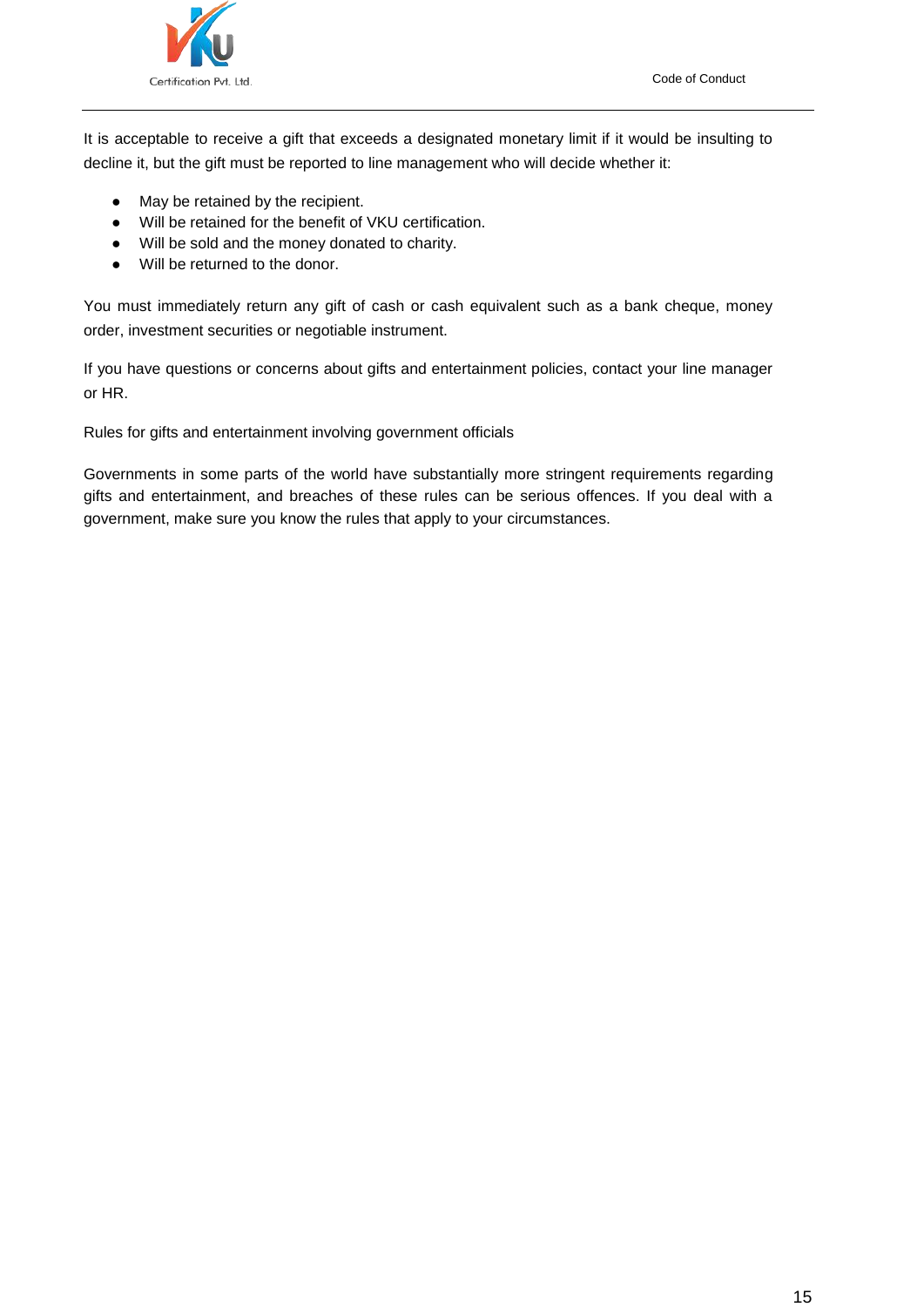

It is acceptable to receive a gift that exceeds a designated monetary limit if it would be insulting to decline it, but the gift must be reported to line management who will decide whether it:

- May be retained by the recipient.
- Will be retained for the benefit of VKU certification.
- Will be sold and the money donated to charity.
- Will be returned to the donor.

You must immediately return any gift of cash or cash equivalent such as a bank cheque, money order, investment securities or negotiable instrument.

If you have questions or concerns about gifts and entertainment policies, contact your line manager or HR.

Rules for gifts and entertainment involving government officials

Governments in some parts of the world have substantially more stringent requirements regarding gifts and entertainment, and breaches of these rules can be serious offences. If you deal with a government, make sure you know the rules that apply to your circumstances.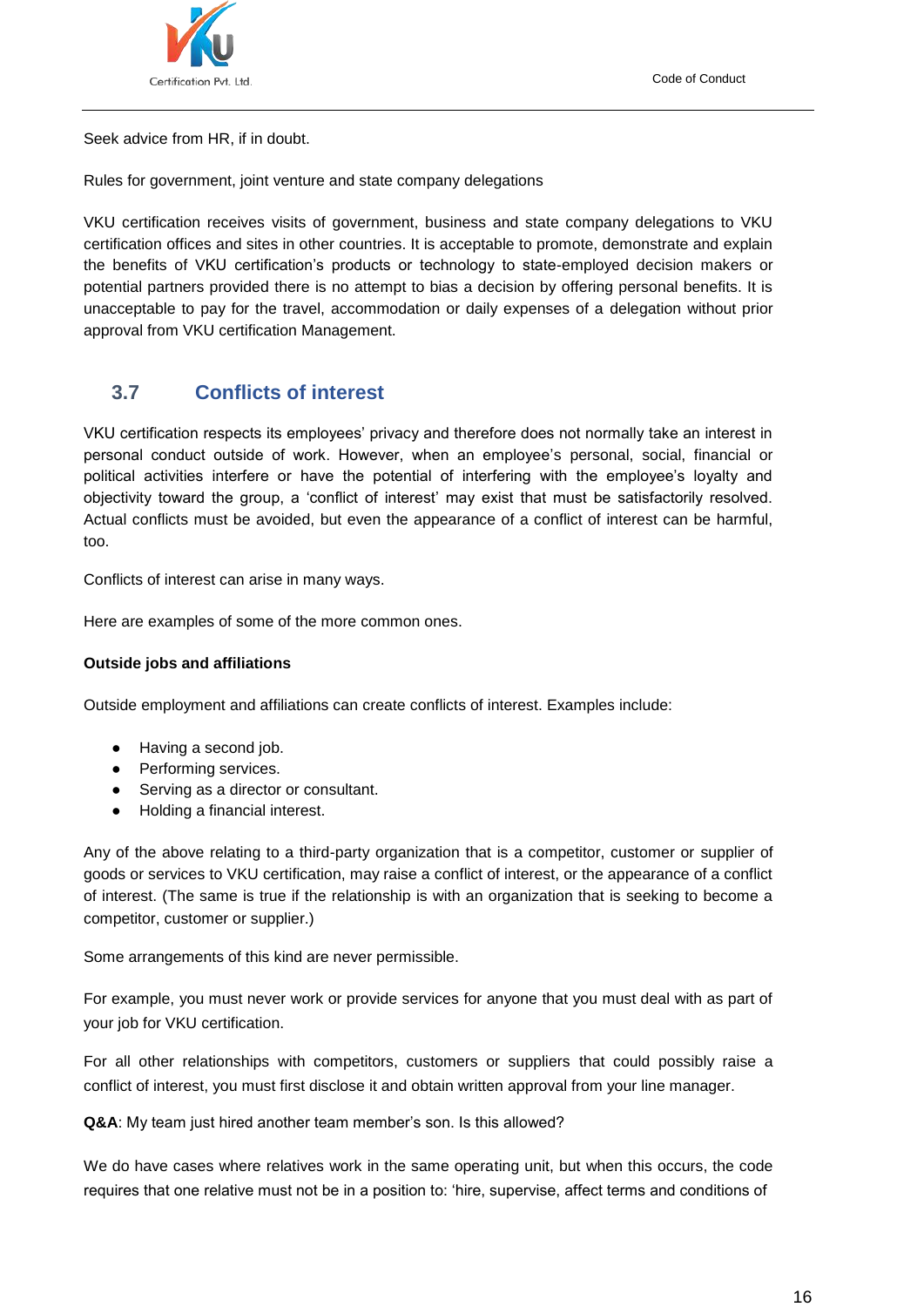

Seek advice from HR, if in doubt.

Rules for government, joint venture and state company delegations

VKU certification receives visits of government, business and state company delegations to VKU certification offices and sites in other countries. It is acceptable to promote, demonstrate and explain the benefits of VKU certification's products or technology to state-employed decision makers or potential partners provided there is no attempt to bias a decision by offering personal benefits. It is unacceptable to pay for the travel, accommodation or daily expenses of a delegation without prior approval from VKU certification Management.

# **3.7 Conflicts of interest**

VKU certification respects its employees' privacy and therefore does not normally take an interest in personal conduct outside of work. However, when an employee's personal, social, financial or political activities interfere or have the potential of interfering with the employee's loyalty and objectivity toward the group, a 'conflict of interest' may exist that must be satisfactorily resolved. Actual conflicts must be avoided, but even the appearance of a conflict of interest can be harmful, too.

Conflicts of interest can arise in many ways.

Here are examples of some of the more common ones.

### **Outside jobs and affiliations**

Outside employment and affiliations can create conflicts of interest. Examples include:

- Having a second job.
- Performing services.
- Serving as a director or consultant.
- Holding a financial interest.

Any of the above relating to a third-party organization that is a competitor, customer or supplier of goods or services to VKU certification, may raise a conflict of interest, or the appearance of a conflict of interest. (The same is true if the relationship is with an organization that is seeking to become a competitor, customer or supplier.)

Some arrangements of this kind are never permissible.

For example, you must never work or provide services for anyone that you must deal with as part of your job for VKU certification.

For all other relationships with competitors, customers or suppliers that could possibly raise a conflict of interest, you must first disclose it and obtain written approval from your line manager.

**Q&A**: My team just hired another team member's son. Is this allowed?

We do have cases where relatives work in the same operating unit, but when this occurs, the code requires that one relative must not be in a position to: 'hire, supervise, affect terms and conditions of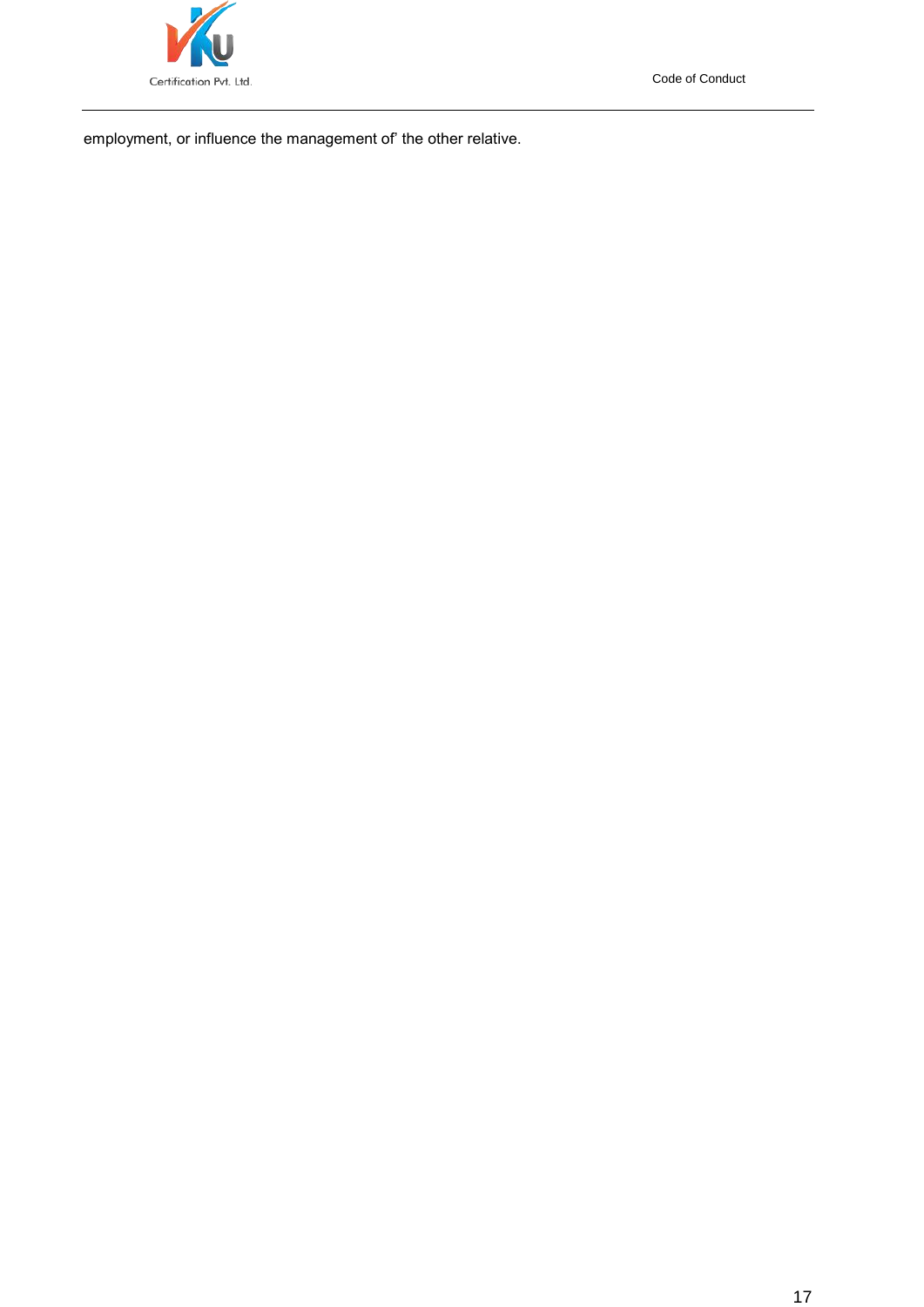

employment, or influence the management of' the other relative.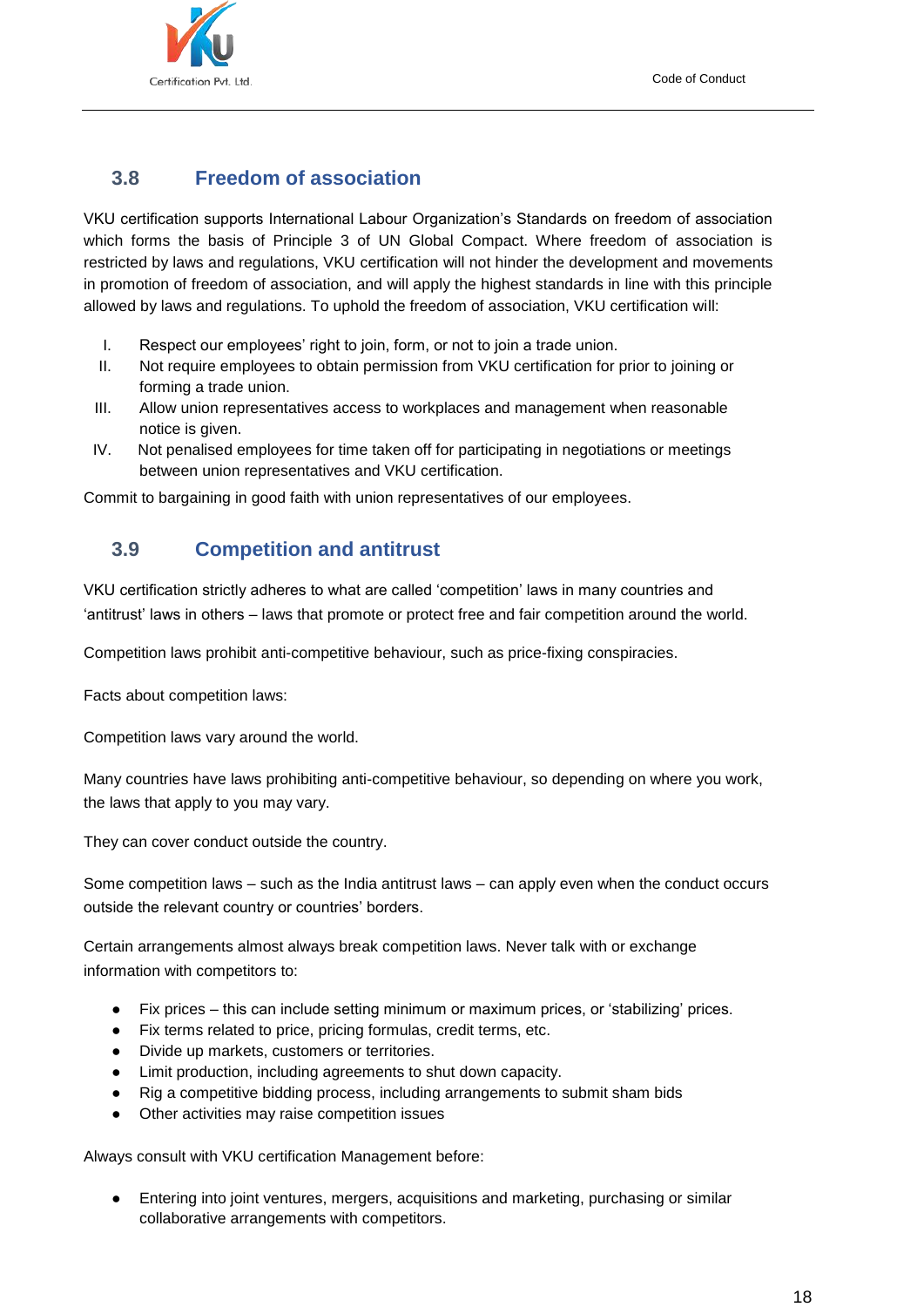

# **3.8 Freedom of association**

VKU certification supports International Labour Organization's Standards on freedom of association which forms the basis of Principle 3 of UN Global Compact. Where freedom of association is restricted by laws and regulations, VKU certification will not hinder the development and movements in promotion of freedom of association, and will apply the highest standards in line with this principle allowed by laws and regulations. To uphold the freedom of association, VKU certification will:

- I. Respect our employees' right to join, form, or not to join a trade union.
- II. Not require employees to obtain permission from VKU certification for prior to joining or forming a trade union.
- III. Allow union representatives access to workplaces and management when reasonable notice is given.
- IV. Not penalised employees for time taken off for participating in negotiations or meetings between union representatives and VKU certification.

Commit to bargaining in good faith with union representatives of our employees.

# **3.9 Competition and antitrust**

VKU certification strictly adheres to what are called 'competition' laws in many countries and 'antitrust' laws in others – laws that promote or protect free and fair competition around the world.

Competition laws prohibit anti-competitive behaviour, such as price-fixing conspiracies.

Facts about competition laws:

Competition laws vary around the world.

Many countries have laws prohibiting anti-competitive behaviour, so depending on where you work, the laws that apply to you may vary.

They can cover conduct outside the country.

Some competition laws – such as the India antitrust laws – can apply even when the conduct occurs outside the relevant country or countries' borders.

Certain arrangements almost always break competition laws. Never talk with or exchange information with competitors to:

- Fix prices this can include setting minimum or maximum prices, or 'stabilizing' prices.
- Fix terms related to price, pricing formulas, credit terms, etc.
- Divide up markets, customers or territories.
- Limit production, including agreements to shut down capacity.
- Rig a competitive bidding process, including arrangements to submit sham bids
- Other activities may raise competition issues

Always consult with VKU certification Management before:

● Entering into joint ventures, mergers, acquisitions and marketing, purchasing or similar collaborative arrangements with competitors.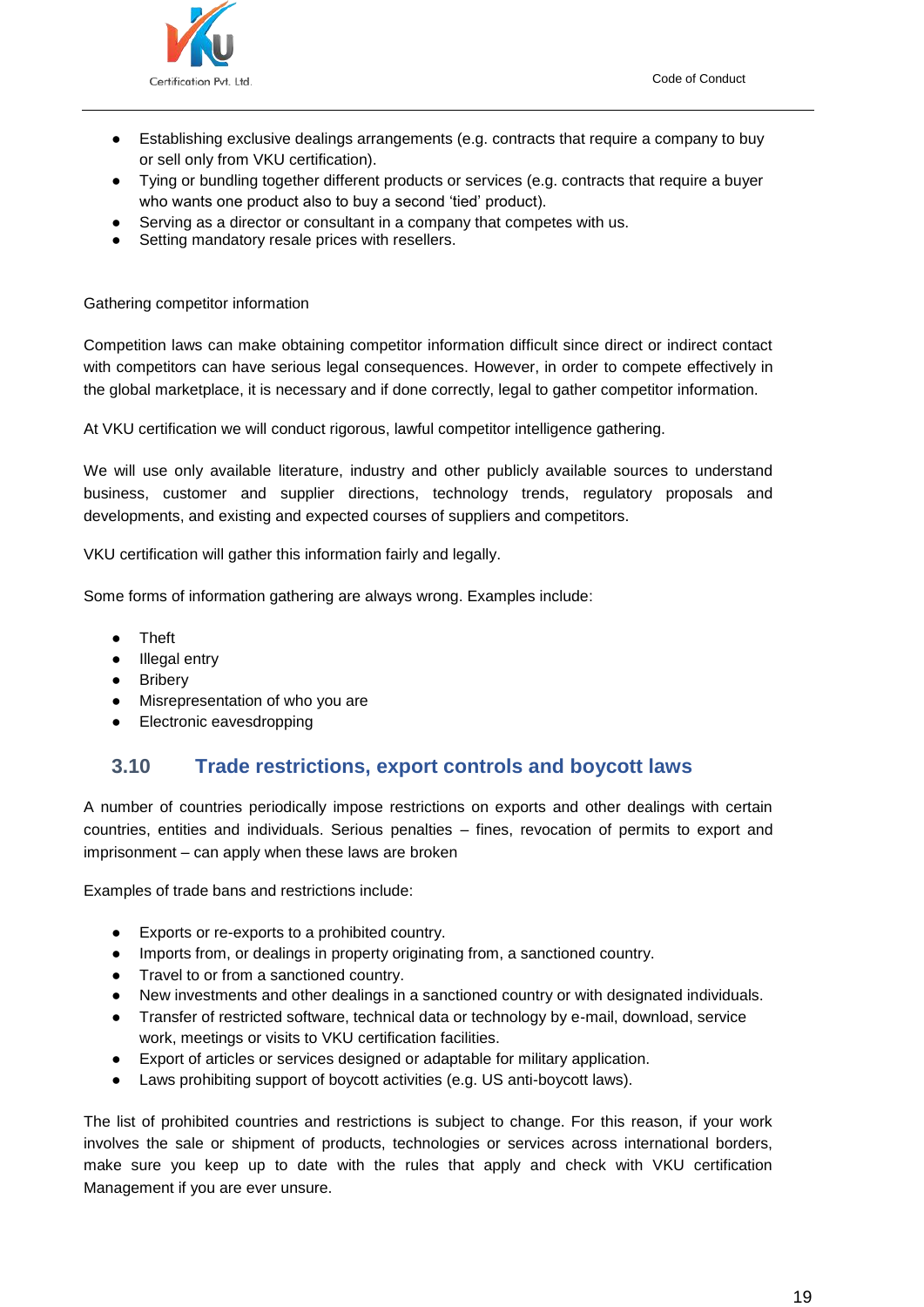

- Establishing exclusive dealings arrangements (e.g. contracts that require a company to buy or sell only from VKU certification).
- Tying or bundling together different products or services (e.g. contracts that require a buyer who wants one product also to buy a second 'tied' product).
- Serving as a director or consultant in a company that competes with us.
- Setting mandatory resale prices with resellers.

### Gathering competitor information

Competition laws can make obtaining competitor information difficult since direct or indirect contact with competitors can have serious legal consequences. However, in order to compete effectively in the global marketplace, it is necessary and if done correctly, legal to gather competitor information.

At VKU certification we will conduct rigorous, lawful competitor intelligence gathering.

We will use only available literature, industry and other publicly available sources to understand business, customer and supplier directions, technology trends, regulatory proposals and developments, and existing and expected courses of suppliers and competitors.

VKU certification will gather this information fairly and legally.

Some forms of information gathering are always wrong. Examples include:

- Theft
- Illegal entry
- Bribery
- Misrepresentation of who you are
- Electronic eavesdropping

### **3.10 Trade restrictions, export controls and boycott laws**

A number of countries periodically impose restrictions on exports and other dealings with certain countries, entities and individuals. Serious penalties – fines, revocation of permits to export and imprisonment – can apply when these laws are broken

Examples of trade bans and restrictions include:

- Exports or re-exports to a prohibited country.
- Imports from, or dealings in property originating from, a sanctioned country.
- Travel to or from a sanctioned country.
- New investments and other dealings in a sanctioned country or with designated individuals.
- Transfer of restricted software, technical data or technology by e-mail, download, service work, meetings or visits to VKU certification facilities.
- Export of articles or services designed or adaptable for military application.
- Laws prohibiting support of boycott activities (e.g. US anti-boycott laws).

The list of prohibited countries and restrictions is subject to change. For this reason, if your work involves the sale or shipment of products, technologies or services across international borders, make sure you keep up to date with the rules that apply and check with VKU certification Management if you are ever unsure.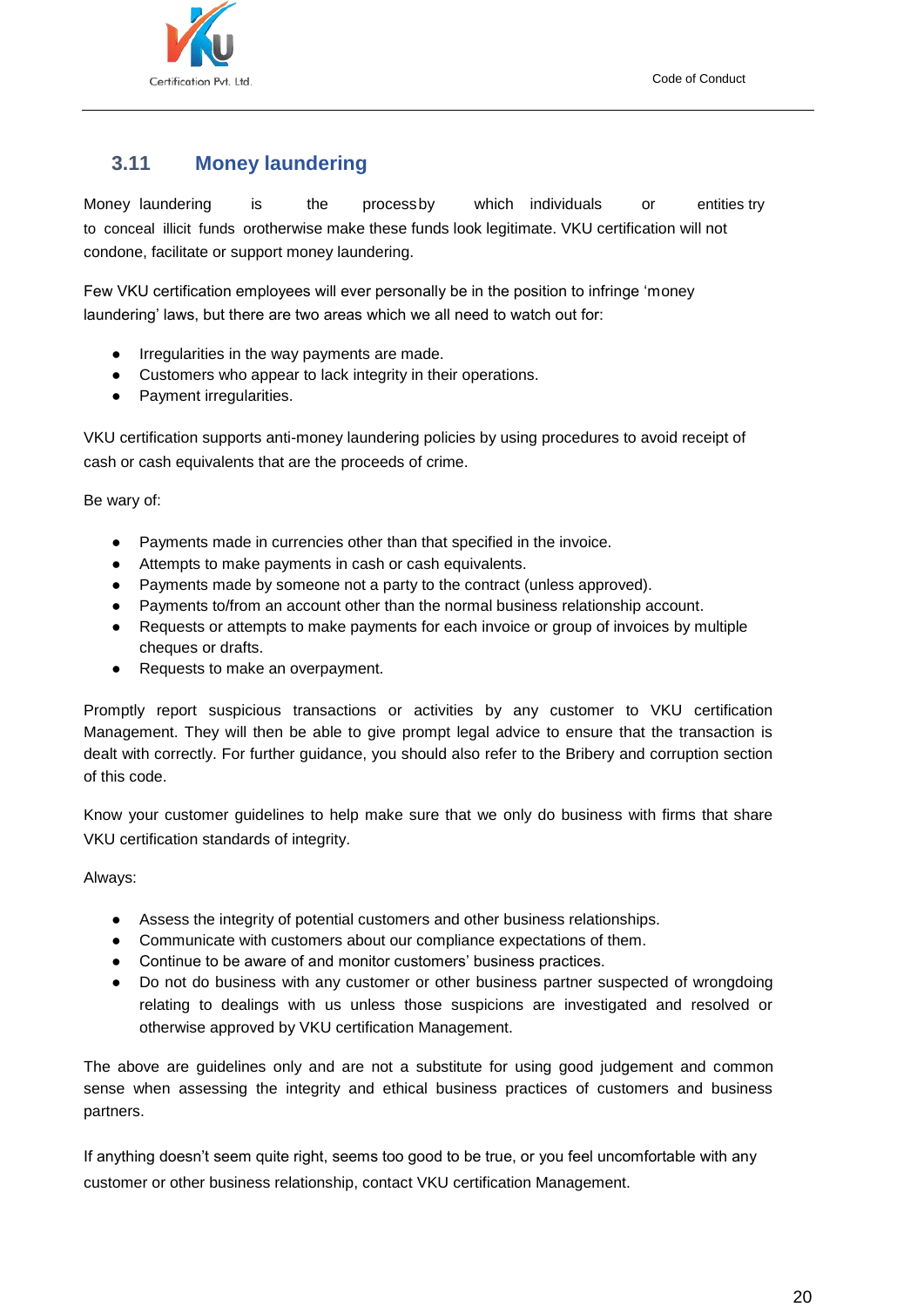

# **3.11 Money laundering**

Money laundering is the processby which individuals or entities try to conceal illicit funds orotherwise make these funds look legitimate. VKU certification will not condone, facilitate or support money laundering.

Few VKU certification employees will ever personally be in the position to infringe 'money laundering' laws, but there are two areas which we all need to watch out for:

- Irregularities in the way payments are made.
- Customers who appear to lack integrity in their operations.
- Payment irregularities.

VKU certification supports anti-money laundering policies by using procedures to avoid receipt of cash or cash equivalents that are the proceeds of crime.

Be wary of:

- Payments made in currencies other than that specified in the invoice.
- Attempts to make payments in cash or cash equivalents.
- Payments made by someone not a party to the contract (unless approved).
- Payments to/from an account other than the normal business relationship account.
- Requests or attempts to make payments for each invoice or group of invoices by multiple cheques or drafts.
- Requests to make an overpayment.

Promptly report suspicious transactions or activities by any customer to VKU certification Management. They will then be able to give prompt legal advice to ensure that the transaction is dealt with correctly. For further guidance, you should also refer to the Bribery and corruption section of this code.

Know your customer guidelines to help make sure that we only do business with firms that share VKU certification standards of integrity.

Always:

- Assess the integrity of potential customers and other business relationships.
- Communicate with customers about our compliance expectations of them.
- Continue to be aware of and monitor customers' business practices.
- Do not do business with any customer or other business partner suspected of wrongdoing relating to dealings with us unless those suspicions are investigated and resolved or otherwise approved by VKU certification Management.

The above are guidelines only and are not a substitute for using good judgement and common sense when assessing the integrity and ethical business practices of customers and business partners.

If anything doesn't seem quite right, seems too good to be true, or you feel uncomfortable with any customer or other business relationship, contact VKU certification Management.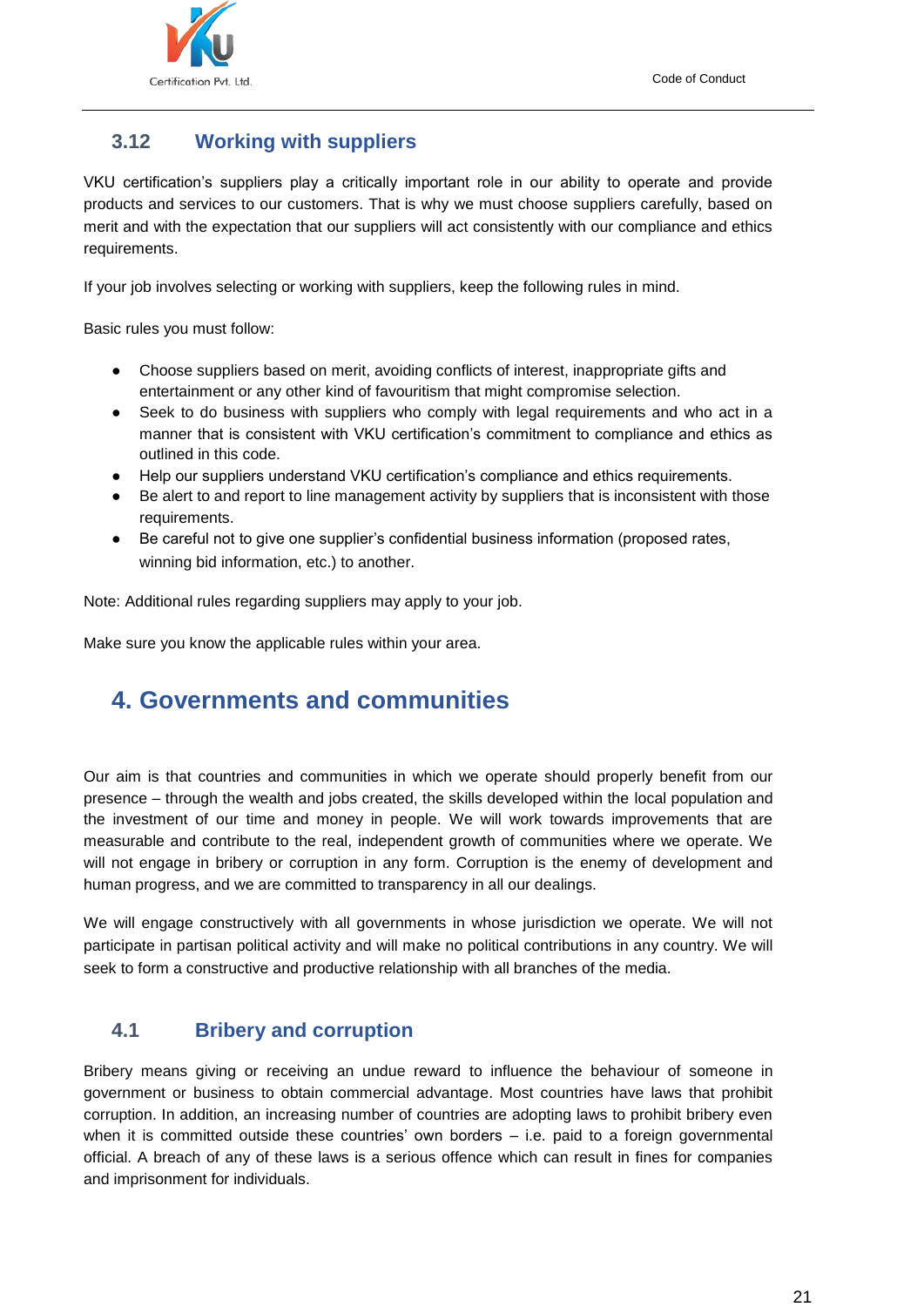

# **3.12 Working with suppliers**

VKU certification's suppliers play a critically important role in our ability to operate and provide products and services to our customers. That is why we must choose suppliers carefully, based on merit and with the expectation that our suppliers will act consistently with our compliance and ethics requirements.

If your job involves selecting or working with suppliers, keep the following rules in mind.

Basic rules you must follow:

- Choose suppliers based on merit, avoiding conflicts of interest, inappropriate gifts and entertainment or any other kind of favouritism that might compromise selection.
- Seek to do business with suppliers who comply with legal requirements and who act in a manner that is consistent with VKU certification's commitment to compliance and ethics as outlined in this code.
- Help our suppliers understand VKU certification's compliance and ethics requirements.
- Be alert to and report to line management activity by suppliers that is inconsistent with those requirements.
- Be careful not to give one supplier's confidential business information (proposed rates, winning bid information, etc.) to another.

Note: Additional rules regarding suppliers may apply to your job.

Make sure you know the applicable rules within your area.

# **4. Governments and communities**

Our aim is that countries and communities in which we operate should properly benefit from our presence – through the wealth and jobs created, the skills developed within the local population and the investment of our time and money in people. We will work towards improvements that are measurable and contribute to the real, independent growth of communities where we operate. We will not engage in bribery or corruption in any form. Corruption is the enemy of development and human progress, and we are committed to transparency in all our dealings.

We will engage constructively with all governments in whose jurisdiction we operate. We will not participate in partisan political activity and will make no political contributions in any country. We will seek to form a constructive and productive relationship with all branches of the media.

### **4.1 Bribery and corruption**

Bribery means giving or receiving an undue reward to influence the behaviour of someone in government or business to obtain commercial advantage. Most countries have laws that prohibit corruption. In addition, an increasing number of countries are adopting laws to prohibit bribery even when it is committed outside these countries' own borders – i.e. paid to a foreign governmental official. A breach of any of these laws is a serious offence which can result in fines for companies and imprisonment for individuals.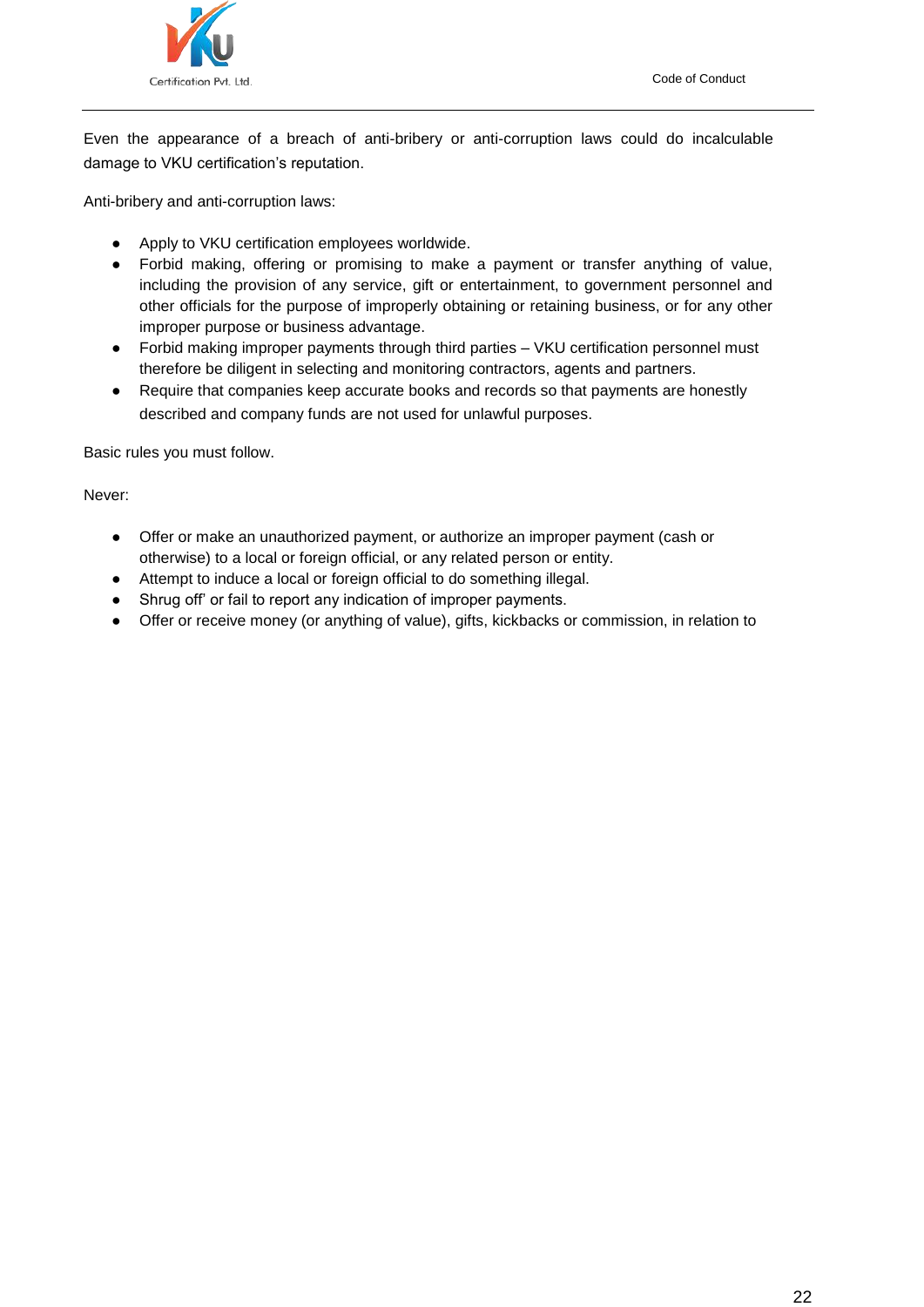

Even the appearance of a breach of anti-bribery or anti-corruption laws could do incalculable damage to VKU certification's reputation.

Anti-bribery and anti-corruption laws:

- Apply to VKU certification employees worldwide.
- Forbid making, offering or promising to make a payment or transfer anything of value, including the provision of any service, gift or entertainment, to government personnel and other officials for the purpose of improperly obtaining or retaining business, or for any other improper purpose or business advantage.
- Forbid making improper payments through third parties VKU certification personnel must therefore be diligent in selecting and monitoring contractors, agents and partners.
- Require that companies keep accurate books and records so that payments are honestly described and company funds are not used for unlawful purposes.

Basic rules you must follow.

Never:

- Offer or make an unauthorized payment, or authorize an improper payment (cash or otherwise) to a local or foreign official, or any related person or entity.
- Attempt to induce a local or foreign official to do something illegal.
- Shrug off' or fail to report any indication of improper payments.
- Offer or receive money (or anything of value), gifts, kickbacks or commission, in relation to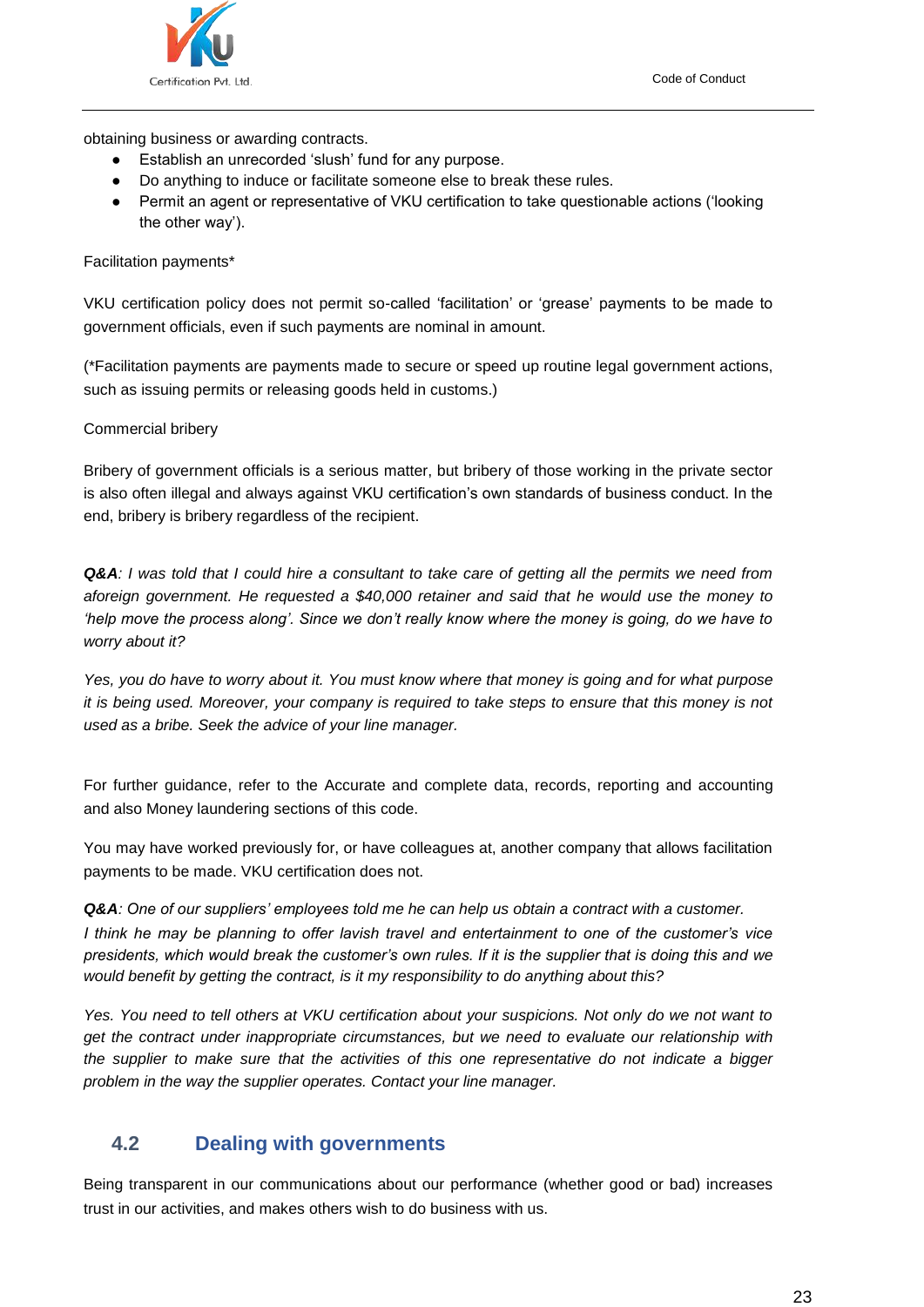

obtaining business or awarding contracts.

- Establish an unrecorded 'slush' fund for any purpose.
- Do anything to induce or facilitate someone else to break these rules.
- Permit an agent or representative of VKU certification to take questionable actions ('looking the other way').

Facilitation payments\*

VKU certification policy does not permit so-called 'facilitation' or 'grease' payments to be made to government officials, even if such payments are nominal in amount.

(\*Facilitation payments are payments made to secure or speed up routine legal government actions, such as issuing permits or releasing goods held in customs.)

Commercial bribery

Bribery of government officials is a serious matter, but bribery of those working in the private sector is also often illegal and always against VKU certification's own standards of business conduct. In the end, bribery is bribery regardless of the recipient.

*Q&A: I was told that I could hire a consultant to take care of getting all the permits we need from aforeign government. He requested a \$40,000 retainer and said that he would use the money to 'help move the process along'. Since we don't really know where the money is going, do we have to worry about it?*

*Yes, you do have to worry about it. You must know where that money is going and for what purpose it is being used. Moreover, your company is required to take steps to ensure that this money is not used as a bribe. Seek the advice of your line manager.*

For further guidance, refer to the Accurate and complete data, records, reporting and accounting and also Money laundering sections of this code.

You may have worked previously for, or have colleagues at, another company that allows facilitation payments to be made. VKU certification does not.

*Q&A: One of our suppliers' employees told me he can help us obtain a contract with a customer. I think he may be planning to offer lavish travel and entertainment to one of the customer's vice presidents, which would break the customer's own rules. If it is the supplier that is doing this and we would benefit by getting the contract, is it my responsibility to do anything about this?*

*Yes. You need to tell others at VKU certification about your suspicions. Not only do we not want to get the contract under inappropriate circumstances, but we need to evaluate our relationship with the supplier to make sure that the activities of this one representative do not indicate a bigger problem in the way the supplier operates. Contact your line manager.*

### **4.2 Dealing with governments**

Being transparent in our communications about our performance (whether good or bad) increases trust in our activities, and makes others wish to do business with us.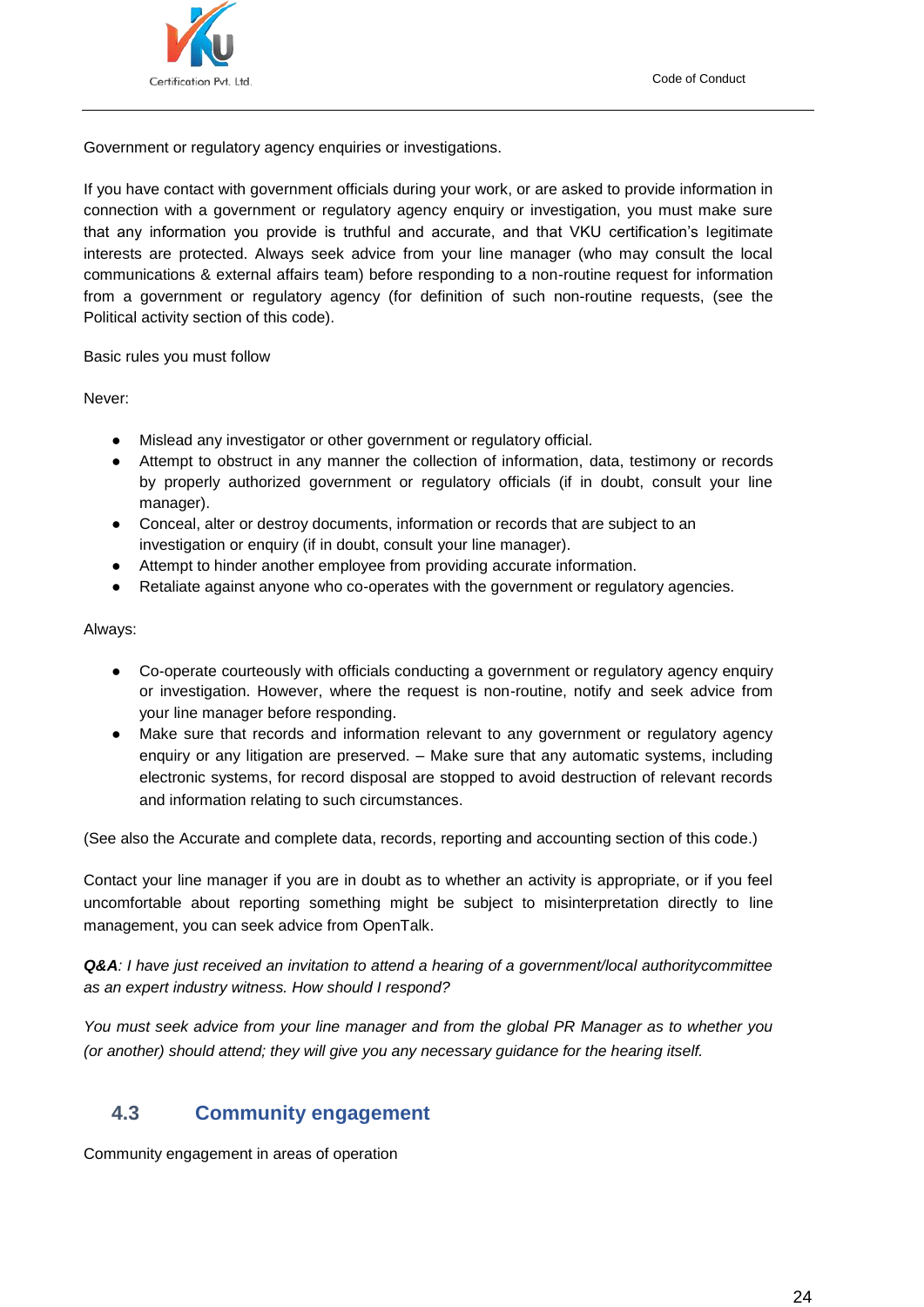

Government or regulatory agency enquiries or investigations.

If you have contact with government officials during your work, or are asked to provide information in connection with a government or regulatory agency enquiry or investigation, you must make sure that any information you provide is truthful and accurate, and that VKU certification's legitimate interests are protected. Always seek advice from your line manager (who may consult the local communications & external affairs team) before responding to a non-routine request for information from a government or regulatory agency (for definition of such non-routine requests, (see the Political activity section of this code).

Basic rules you must follow

Never:

- Mislead any investigator or other government or regulatory official.
- Attempt to obstruct in any manner the collection of information, data, testimony or records by properly authorized government or regulatory officials (if in doubt, consult your line manager).
- Conceal, alter or destroy documents, information or records that are subject to an investigation or enquiry (if in doubt, consult your line manager).
- Attempt to hinder another employee from providing accurate information.
- Retaliate against anyone who co-operates with the government or regulatory agencies.

Always:

- Co-operate courteously with officials conducting a government or regulatory agency enquiry or investigation. However, where the request is non-routine, notify and seek advice from your line manager before responding.
- Make sure that records and information relevant to any government or regulatory agency enquiry or any litigation are preserved. – Make sure that any automatic systems, including electronic systems, for record disposal are stopped to avoid destruction of relevant records and information relating to such circumstances.

(See also the Accurate and complete data, records, reporting and accounting section of this code.)

Contact your line manager if you are in doubt as to whether an activity is appropriate, or if you feel uncomfortable about reporting something might be subject to misinterpretation directly to line management, you can seek advice from OpenTalk.

*Q&A: I have just received an invitation to attend a hearing of a government/local authoritycommittee as an expert industry witness. How should I respond?*

*You must seek advice from your line manager and from the global PR Manager as to whether you (or another) should attend; they will give you any necessary guidance for the hearing itself.*

### **4.3 Community engagement**

Community engagement in areas of operation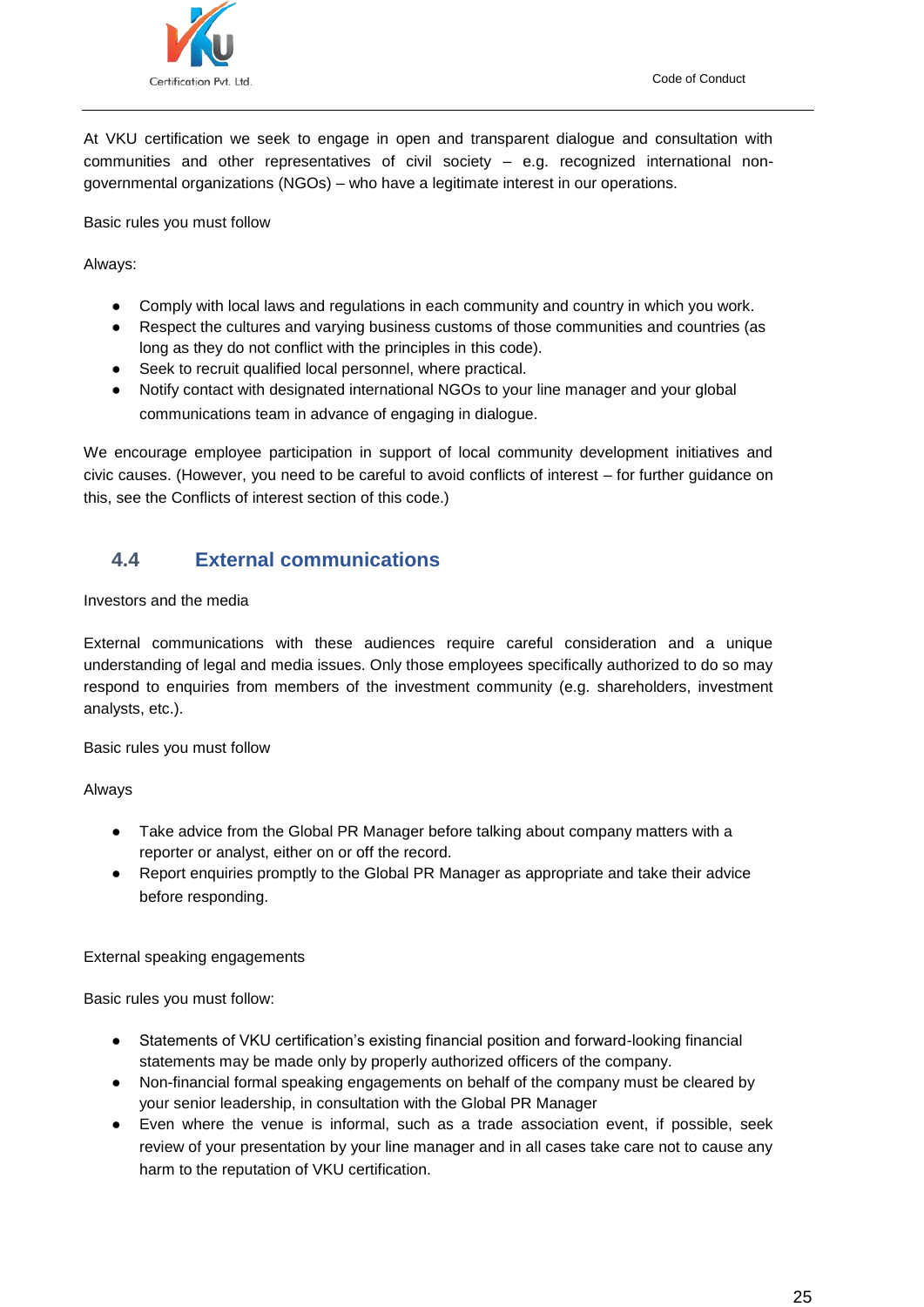

At VKU certification we seek to engage in open and transparent dialogue and consultation with communities and other representatives of civil society – e.g. recognized international nongovernmental organizations (NGOs) – who have a legitimate interest in our operations.

Basic rules you must follow

Always:

- Comply with local laws and regulations in each community and country in which you work.
- Respect the cultures and varying business customs of those communities and countries (as long as they do not conflict with the principles in this code).
- Seek to recruit qualified local personnel, where practical.
- Notify contact with designated international NGOs to your line manager and your global communications team in advance of engaging in dialogue.

We encourage employee participation in support of local community development initiatives and civic causes. (However, you need to be careful to avoid conflicts of interest – for further guidance on this, see the Conflicts of interest section of this code.)

### **4.4 External communications**

Investors and the media

External communications with these audiences require careful consideration and a unique understanding of legal and media issues. Only those employees specifically authorized to do so may respond to enquiries from members of the investment community (e.g. shareholders, investment analysts, etc.).

Basic rules you must follow

Always

- Take advice from the Global PR Manager before talking about company matters with a reporter or analyst, either on or off the record.
- Report enquiries promptly to the Global PR Manager as appropriate and take their advice before responding.

External speaking engagements

Basic rules you must follow:

- Statements of VKU certification's existing financial position and forward-looking financial statements may be made only by properly authorized officers of the company.
- Non-financial formal speaking engagements on behalf of the company must be cleared by your senior leadership, in consultation with the Global PR Manager
- Even where the venue is informal, such as a trade association event, if possible, seek review of your presentation by your line manager and in all cases take care not to cause any harm to the reputation of VKU certification.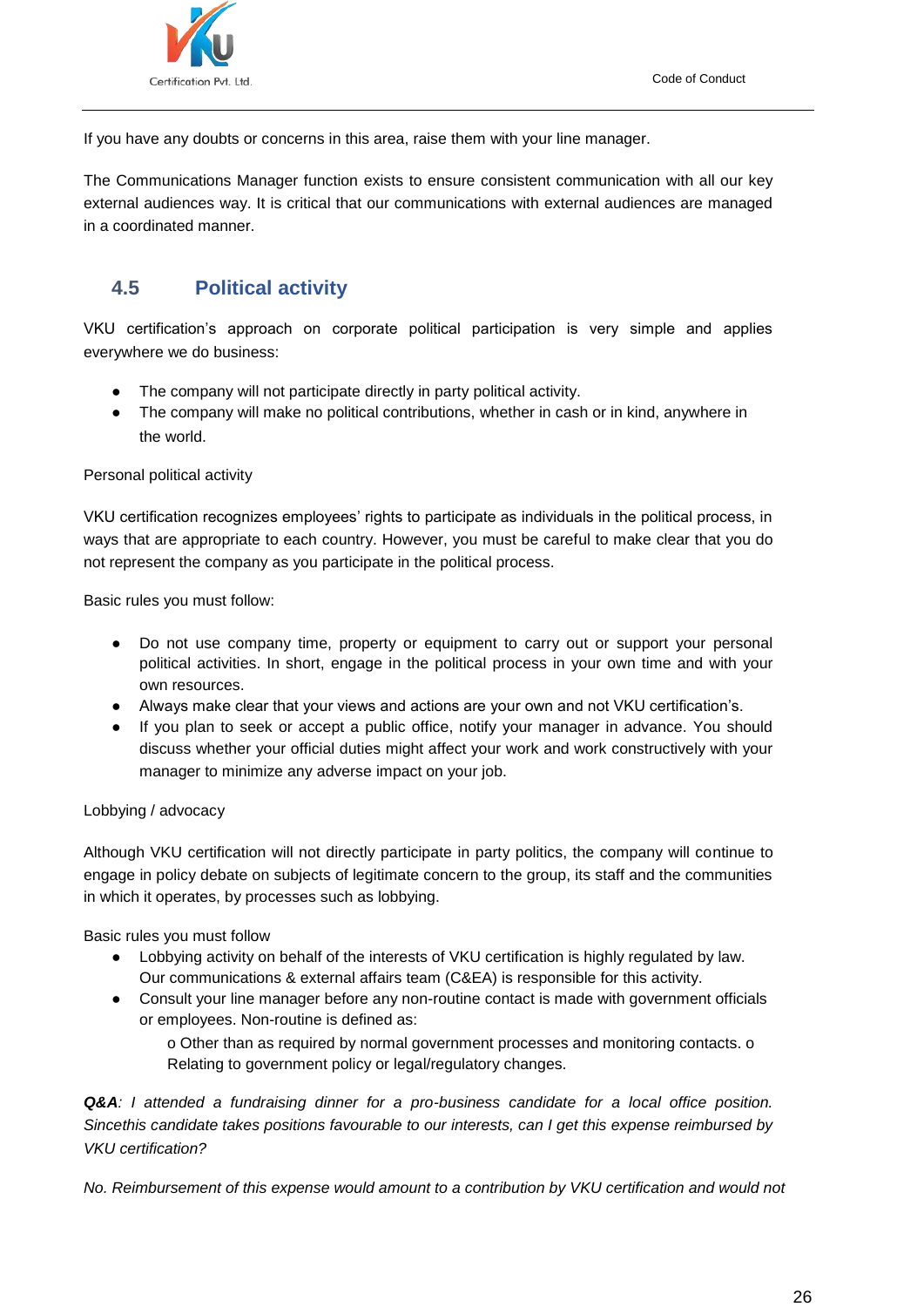

If you have any doubts or concerns in this area, raise them with your line manager.

The Communications Manager function exists to ensure consistent communication with all our key external audiences way. It is critical that our communications with external audiences are managed in a coordinated manner.

# **4.5 Political activity**

VKU certification's approach on corporate political participation is very simple and applies everywhere we do business:

- The company will not participate directly in party political activity.
- The company will make no political contributions, whether in cash or in kind, anywhere in the world.

Personal political activity

VKU certification recognizes employees' rights to participate as individuals in the political process, in ways that are appropriate to each country. However, you must be careful to make clear that you do not represent the company as you participate in the political process.

Basic rules you must follow:

- Do not use company time, property or equipment to carry out or support your personal political activities. In short, engage in the political process in your own time and with your own resources.
- Always make clear that your views and actions are your own and not VKU certification's.
- If you plan to seek or accept a public office, notify your manager in advance. You should discuss whether your official duties might affect your work and work constructively with your manager to minimize any adverse impact on your job.

Lobbying / advocacy

Although VKU certification will not directly participate in party politics, the company will continue to engage in policy debate on subjects of legitimate concern to the group, its staff and the communities in which it operates, by processes such as lobbying.

Basic rules you must follow

- Lobbying activity on behalf of the interests of VKU certification is highly regulated by law. Our communications & external affairs team (C&EA) is responsible for this activity.
- Consult your line manager before any non-routine contact is made with government officials or employees. Non-routine is defined as:

o Other than as required by normal government processes and monitoring contacts. o Relating to government policy or legal/regulatory changes.

*Q&A: I attended a fundraising dinner for a pro-business candidate for a local office position. Sincethis candidate takes positions favourable to our interests, can I get this expense reimbursed by VKU certification?*

*No. Reimbursement of this expense would amount to a contribution by VKU certification and would not*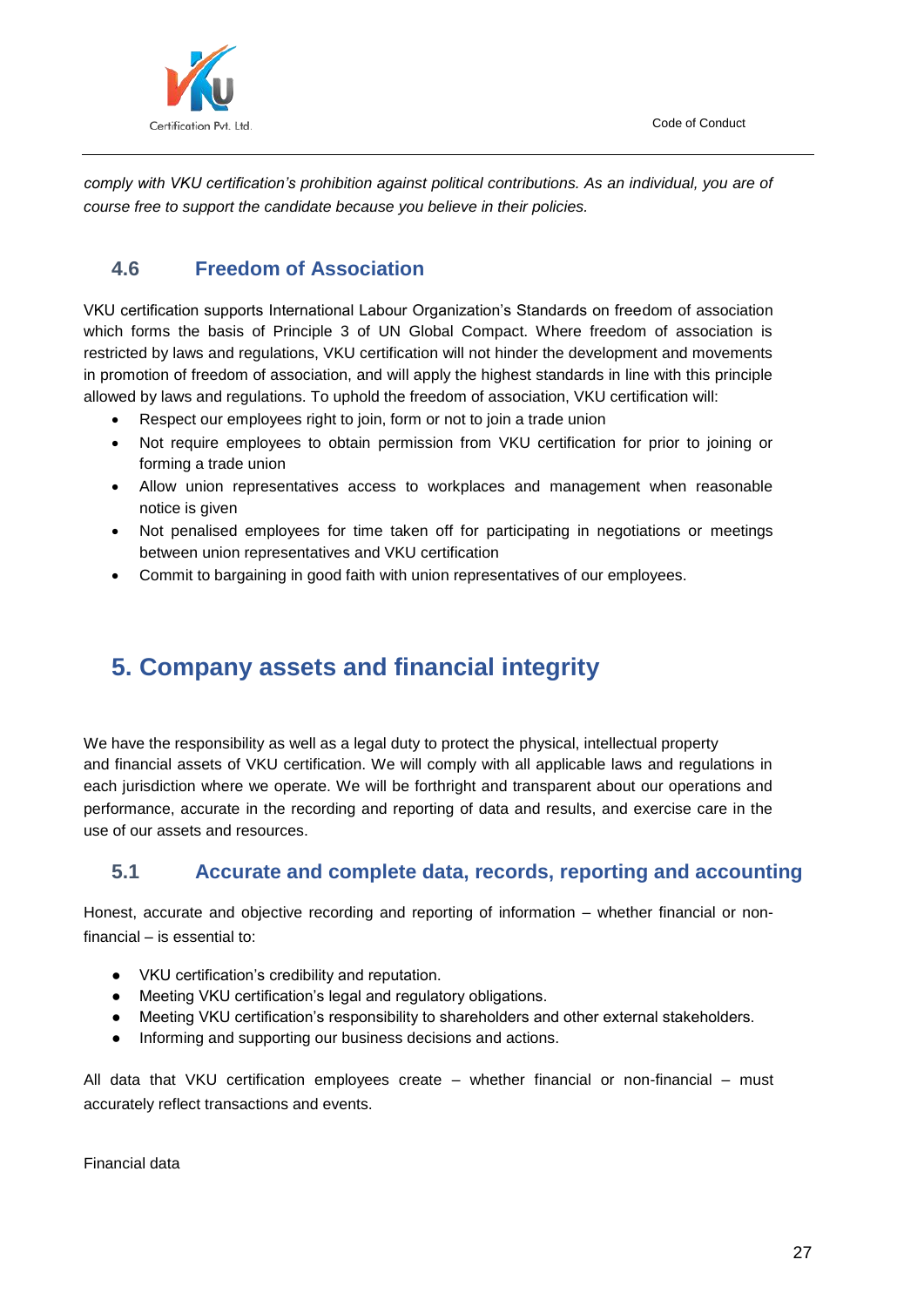



*comply with VKU certification's prohibition against political contributions. As an individual, you are of course free to support the candidate because you believe in their policies.*

# **4.6 Freedom of Association**

VKU certification supports International Labour Organization's Standards on freedom of association which forms the basis of Principle 3 of UN Global Compact. Where freedom of association is restricted by laws and regulations, VKU certification will not hinder the development and movements in promotion of freedom of association, and will apply the highest standards in line with this principle allowed by laws and regulations. To uphold the freedom of association, VKU certification will:

- Respect our employees right to join, form or not to join a trade union
- Not require employees to obtain permission from VKU certification for prior to joining or forming a trade union
- Allow union representatives access to workplaces and management when reasonable notice is given
- Not penalised employees for time taken off for participating in negotiations or meetings between union representatives and VKU certification
- Commit to bargaining in good faith with union representatives of our employees.

# **5. Company assets and financial integrity**

We have the responsibility as well as a legal duty to protect the physical, intellectual property and financial assets of VKU certification. We will comply with all applicable laws and regulations in each jurisdiction where we operate. We will be forthright and transparent about our operations and performance, accurate in the recording and reporting of data and results, and exercise care in the use of our assets and resources.

# **5.1 Accurate and complete data, records, reporting and accounting**

Honest, accurate and objective recording and reporting of information – whether financial or nonfinancial – is essential to:

- VKU certification's credibility and reputation.
- Meeting VKU certification's legal and regulatory obligations.
- Meeting VKU certification's responsibility to shareholders and other external stakeholders.
- Informing and supporting our business decisions and actions.

All data that VKU certification employees create – whether financial or non-financial – must accurately reflect transactions and events.

Financial data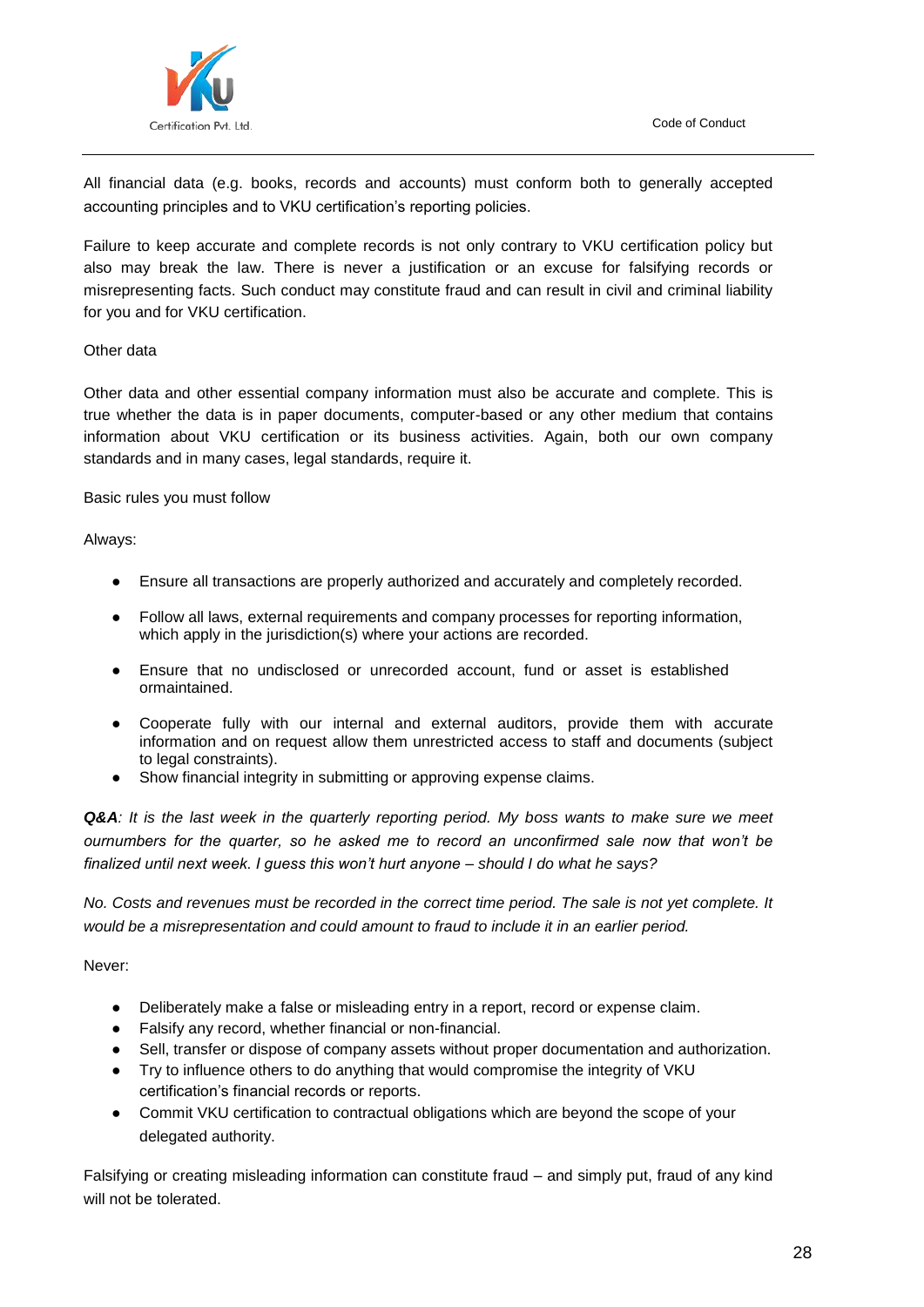

All financial data (e.g. books, records and accounts) must conform both to generally accepted accounting principles and to VKU certification's reporting policies.

Failure to keep accurate and complete records is not only contrary to VKU certification policy but also may break the law. There is never a justification or an excuse for falsifying records or misrepresenting facts. Such conduct may constitute fraud and can result in civil and criminal liability for you and for VKU certification.

### Other data

Other data and other essential company information must also be accurate and complete. This is true whether the data is in paper documents, computer-based or any other medium that contains information about VKU certification or its business activities. Again, both our own company standards and in many cases, legal standards, require it.

Basic rules you must follow

#### Always:

- Ensure all transactions are properly authorized and accurately and completely recorded.
- Follow all laws, external requirements and company processes for reporting information, which apply in the jurisdiction(s) where your actions are recorded.
- Ensure that no undisclosed or unrecorded account, fund or asset is established ormaintained.
- Cooperate fully with our internal and external auditors, provide them with accurate information and on request allow them unrestricted access to staff and documents (subject to legal constraints).
- Show financial integrity in submitting or approving expense claims.

*Q&A: It is the last week in the quarterly reporting period. My boss wants to make sure we meet ournumbers for the quarter, so he asked me to record an unconfirmed sale now that won't be finalized until next week. I guess this won't hurt anyone – should I do what he says?*

*No. Costs and revenues must be recorded in the correct time period. The sale is not yet complete. It would be a misrepresentation and could amount to fraud to include it in an earlier period.*

Never:

- Deliberately make a false or misleading entry in a report, record or expense claim.
- Falsify any record, whether financial or non-financial.
- Sell, transfer or dispose of company assets without proper documentation and authorization.
- Try to influence others to do anything that would compromise the integrity of VKU certification's financial records or reports.
- Commit VKU certification to contractual obligations which are beyond the scope of your delegated authority.

Falsifying or creating misleading information can constitute fraud – and simply put, fraud of any kind will not be tolerated.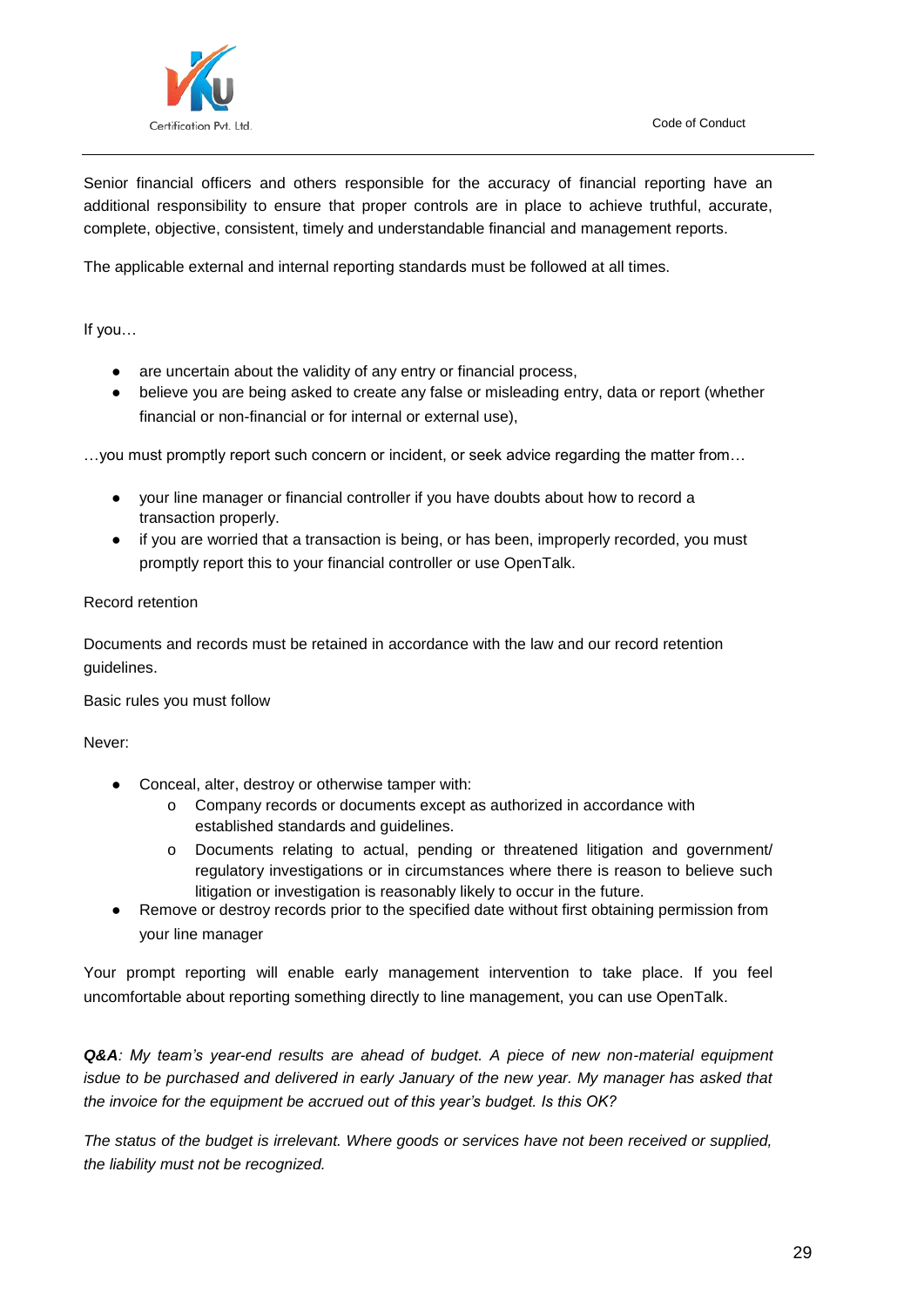

Senior financial officers and others responsible for the accuracy of financial reporting have an additional responsibility to ensure that proper controls are in place to achieve truthful, accurate, complete, objective, consistent, timely and understandable financial and management reports.

The applicable external and internal reporting standards must be followed at all times.

If you…

- are uncertain about the validity of any entry or financial process,
- believe you are being asked to create any false or misleading entry, data or report (whether financial or non-financial or for internal or external use),

…you must promptly report such concern or incident, or seek advice regarding the matter from…

- your line manager or financial controller if you have doubts about how to record a transaction properly.
- if you are worried that a transaction is being, or has been, improperly recorded, you must promptly report this to your financial controller or use OpenTalk.

### Record retention

Documents and records must be retained in accordance with the law and our record retention guidelines.

Basic rules you must follow

Never:

- Conceal, alter, destroy or otherwise tamper with:
	- o Company records or documents except as authorized in accordance with established standards and guidelines.
	- o Documents relating to actual, pending or threatened litigation and government/ regulatory investigations or in circumstances where there is reason to believe such litigation or investigation is reasonably likely to occur in the future.
- Remove or destroy records prior to the specified date without first obtaining permission from your line manager

Your prompt reporting will enable early management intervention to take place. If you feel uncomfortable about reporting something directly to line management, you can use OpenTalk.

*Q&A: My team's year-end results are ahead of budget. A piece of new non-material equipment isdue to be purchased and delivered in early January of the new year. My manager has asked that the invoice for the equipment be accrued out of this year's budget. Is this OK?*

*The status of the budget is irrelevant. Where goods or services have not been received or supplied, the liability must not be recognized.*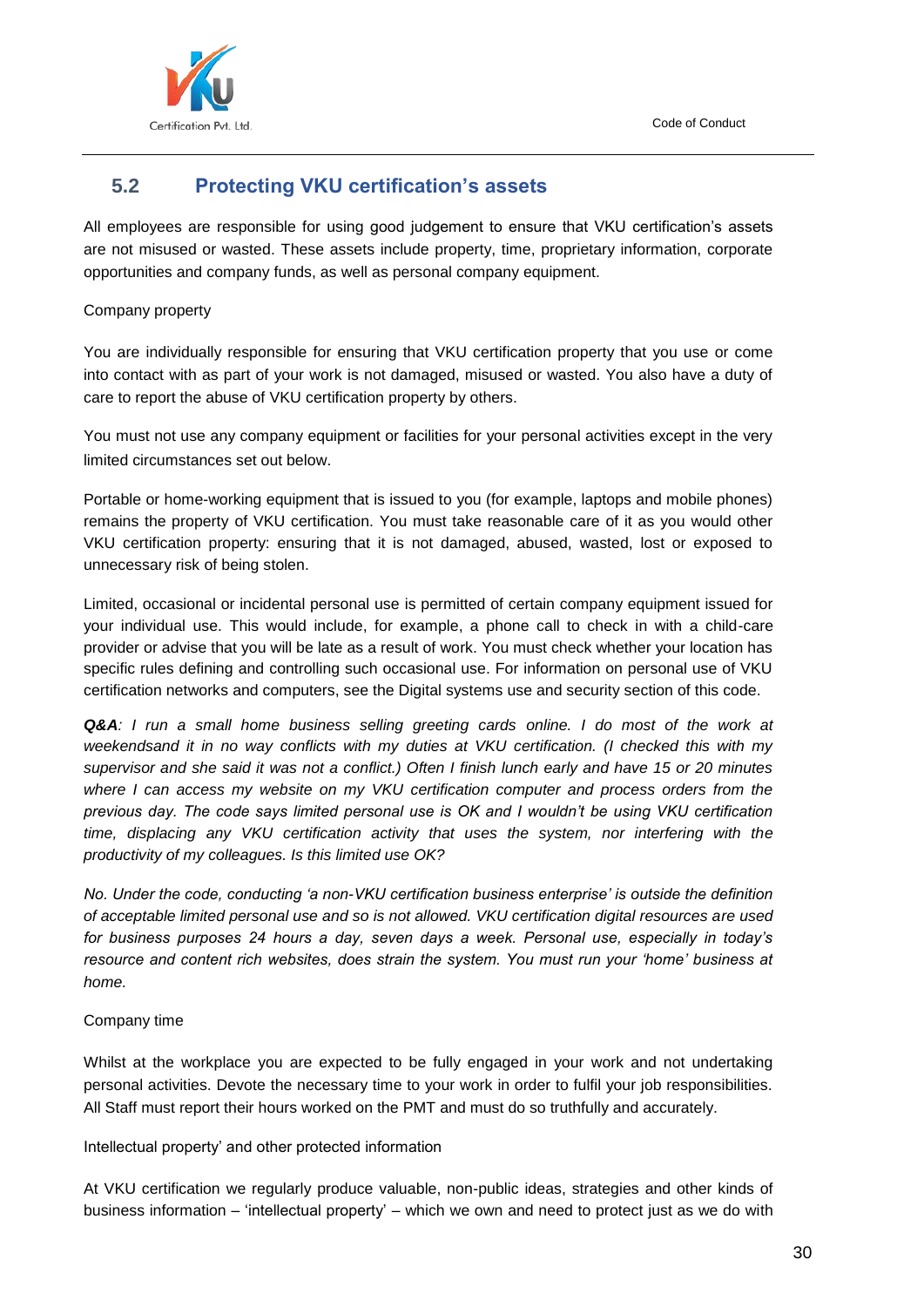

# **5.2 Protecting VKU certification's assets**

All employees are responsible for using good judgement to ensure that VKU certification's assets are not misused or wasted. These assets include property, time, proprietary information, corporate opportunities and company funds, as well as personal company equipment.

### Company property

You are individually responsible for ensuring that VKU certification property that you use or come into contact with as part of your work is not damaged, misused or wasted. You also have a duty of care to report the abuse of VKU certification property by others.

You must not use any company equipment or facilities for your personal activities except in the very limited circumstances set out below.

Portable or home-working equipment that is issued to you (for example, laptops and mobile phones) remains the property of VKU certification. You must take reasonable care of it as you would other VKU certification property: ensuring that it is not damaged, abused, wasted, lost or exposed to unnecessary risk of being stolen.

Limited, occasional or incidental personal use is permitted of certain company equipment issued for your individual use. This would include, for example, a phone call to check in with a child-care provider or advise that you will be late as a result of work. You must check whether your location has specific rules defining and controlling such occasional use. For information on personal use of VKU certification networks and computers, see the Digital systems use and security section of this code.

*Q&A: I run a small home business selling greeting cards online. I do most of the work at weekendsand it in no way conflicts with my duties at VKU certification. (I checked this with my supervisor and she said it was not a conflict.) Often I finish lunch early and have 15 or 20 minutes where I can access my website on my VKU certification computer and process orders from the previous day. The code says limited personal use is OK and I wouldn't be using VKU certification time, displacing any VKU certification activity that uses the system, nor interfering with the productivity of my colleagues. Is this limited use OK?*

*No. Under the code, conducting 'a non-VKU certification business enterprise' is outside the definition of acceptable limited personal use and so is not allowed. VKU certification digital resources are used for business purposes 24 hours a day, seven days a week. Personal use, especially in today's resource and content rich websites, does strain the system. You must run your 'home' business at home.*

### Company time

Whilst at the workplace you are expected to be fully engaged in your work and not undertaking personal activities. Devote the necessary time to your work in order to fulfil your job responsibilities. All Staff must report their hours worked on the PMT and must do so truthfully and accurately.

Intellectual property' and other protected information

At VKU certification we regularly produce valuable, non-public ideas, strategies and other kinds of business information – 'intellectual property' – which we own and need to protect just as we do with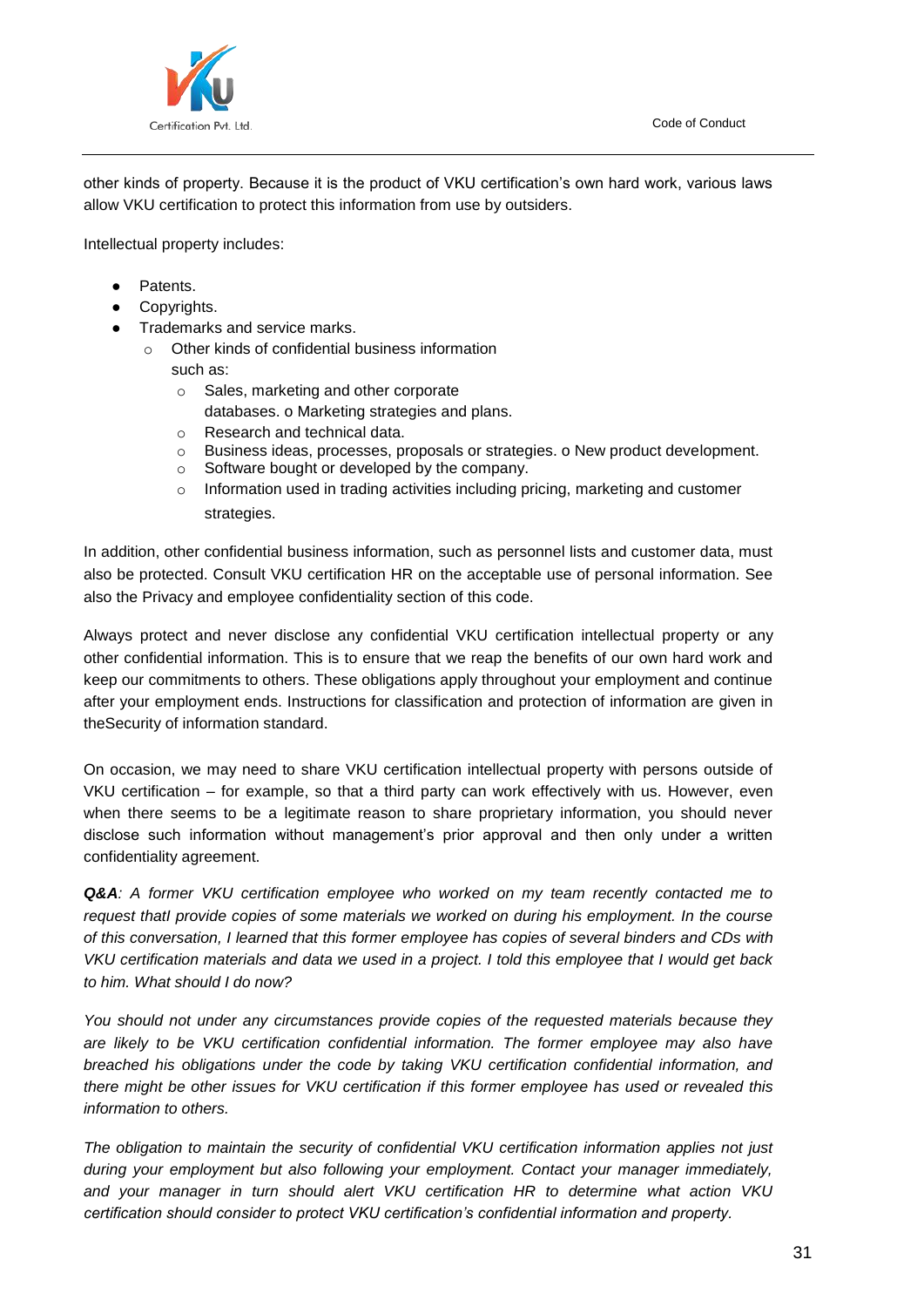

other kinds of property. Because it is the product of VKU certification's own hard work, various laws allow VKU certification to protect this information from use by outsiders.

Intellectual property includes:

- Patents.
- Copyrights.
- Trademarks and service marks.
	- o Other kinds of confidential business information such as:
		- o Sales, marketing and other corporate databases. o Marketing strategies and plans.
		- o Research and technical data.
		- o Business ideas, processes, proposals or strategies. o New product development.
		- o Software bought or developed by the company.
		- o Information used in trading activities including pricing, marketing and customer strategies.

In addition, other confidential business information, such as personnel lists and customer data, must also be protected. Consult VKU certification HR on the acceptable use of personal information. See also the Privacy and employee confidentiality section of this code.

Always protect and never disclose any confidential VKU certification intellectual property or any other confidential information. This is to ensure that we reap the benefits of our own hard work and keep our commitments to others. These obligations apply throughout your employment and continue after your employment ends. Instructions for classification and protection of information are given in theSecurity of information standard.

On occasion, we may need to share VKU certification intellectual property with persons outside of VKU certification – for example, so that a third party can work effectively with us. However, even when there seems to be a legitimate reason to share proprietary information, you should never disclose such information without management's prior approval and then only under a written confidentiality agreement.

*Q&A: A former VKU certification employee who worked on my team recently contacted me to request thatI provide copies of some materials we worked on during his employment. In the course of this conversation, I learned that this former employee has copies of several binders and CDs with VKU certification materials and data we used in a project. I told this employee that I would get back to him. What should I do now?*

*You should not under any circumstances provide copies of the requested materials because they are likely to be VKU certification confidential information. The former employee may also have breached his obligations under the code by taking VKU certification confidential information, and there might be other issues for VKU certification if this former employee has used or revealed this information to others.*

*The obligation to maintain the security of confidential VKU certification information applies not just during your employment but also following your employment. Contact your manager immediately, and your manager in turn should alert VKU certification HR to determine what action VKU certification should consider to protect VKU certification's confidential information and property.*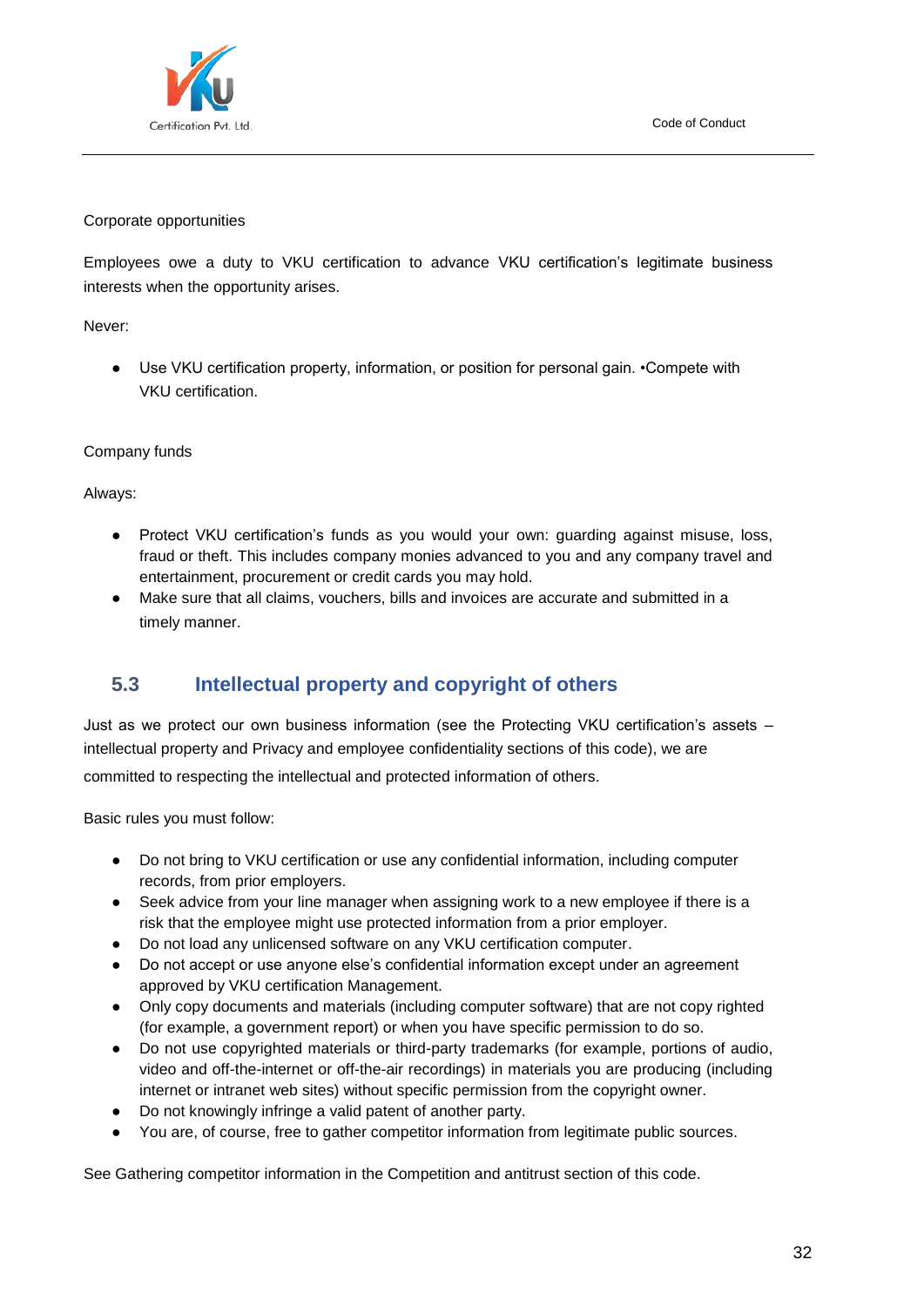

### Corporate opportunities

Employees owe a duty to VKU certification to advance VKU certification's legitimate business interests when the opportunity arises.

Never:

● Use VKU certification property, information, or position for personal gain. •Compete with VKU certification.

### Company funds

Always:

- Protect VKU certification's funds as you would your own: guarding against misuse, loss, fraud or theft. This includes company monies advanced to you and any company travel and entertainment, procurement or credit cards you may hold.
- Make sure that all claims, vouchers, bills and invoices are accurate and submitted in a timely manner.

# **5.3 Intellectual property and copyright of others**

Just as we protect our own business information (see the Protecting VKU certification's assets – intellectual property and Privacy and employee confidentiality sections of this code), we are committed to respecting the intellectual and protected information of others.

Basic rules you must follow:

- Do not bring to VKU certification or use any confidential information, including computer records, from prior employers.
- Seek advice from your line manager when assigning work to a new employee if there is a risk that the employee might use protected information from a prior employer.
- Do not load any unlicensed software on any VKU certification computer.
- Do not accept or use anyone else's confidential information except under an agreement approved by VKU certification Management.
- Only copy documents and materials (including computer software) that are not copy righted (for example, a government report) or when you have specific permission to do so.
- Do not use copyrighted materials or third-party trademarks (for example, portions of audio, video and off-the-internet or off-the-air recordings) in materials you are producing (including internet or intranet web sites) without specific permission from the copyright owner.
- Do not knowingly infringe a valid patent of another party.
- You are, of course, free to gather competitor information from legitimate public sources.

See Gathering competitor information in the Competition and antitrust section of this code.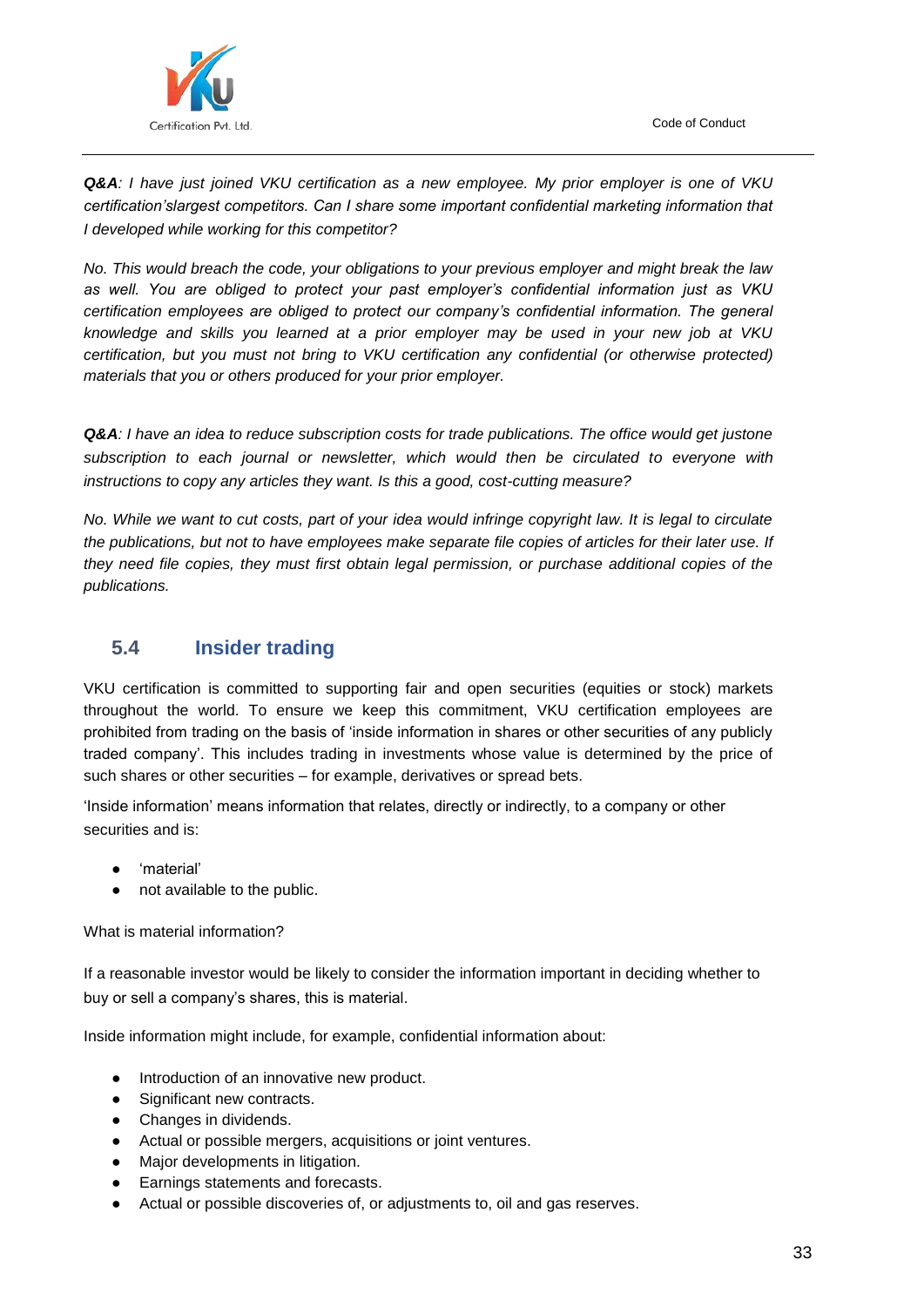

*Q&A: I have just joined VKU certification as a new employee. My prior employer is one of VKU certification'slargest competitors. Can I share some important confidential marketing information that I developed while working for this competitor?*

*No. This would breach the code, your obligations to your previous employer and might break the law as well. You are obliged to protect your past employer's confidential information just as VKU certification employees are obliged to protect our company's confidential information. The general knowledge and skills you learned at a prior employer may be used in your new job at VKU certification, but you must not bring to VKU certification any confidential (or otherwise protected) materials that you or others produced for your prior employer.*

*Q&A: I have an idea to reduce subscription costs for trade publications. The office would get justone subscription to each journal or newsletter, which would then be circulated to everyone with instructions to copy any articles they want. Is this a good, cost-cutting measure?*

*No. While we want to cut costs, part of your idea would infringe copyright law. It is legal to circulate the publications, but not to have employees make separate file copies of articles for their later use. If they need file copies, they must first obtain legal permission, or purchase additional copies of the publications.*

### **5.4 Insider trading**

VKU certification is committed to supporting fair and open securities (equities or stock) markets throughout the world. To ensure we keep this commitment, VKU certification employees are prohibited from trading on the basis of 'inside information in shares or other securities of any publicly traded company'. This includes trading in investments whose value is determined by the price of such shares or other securities – for example, derivatives or spread bets.

'Inside information' means information that relates, directly or indirectly, to a company or other securities and is:

- 'material'
- not available to the public.

What is material information?

If a reasonable investor would be likely to consider the information important in deciding whether to buy or sell a company's shares, this is material.

Inside information might include, for example, confidential information about:

- Introduction of an innovative new product.
- Significant new contracts.
- Changes in dividends.
- Actual or possible mergers, acquisitions or joint ventures.
- Major developments in litigation.
- Earnings statements and forecasts.
- Actual or possible discoveries of, or adjustments to, oil and gas reserves.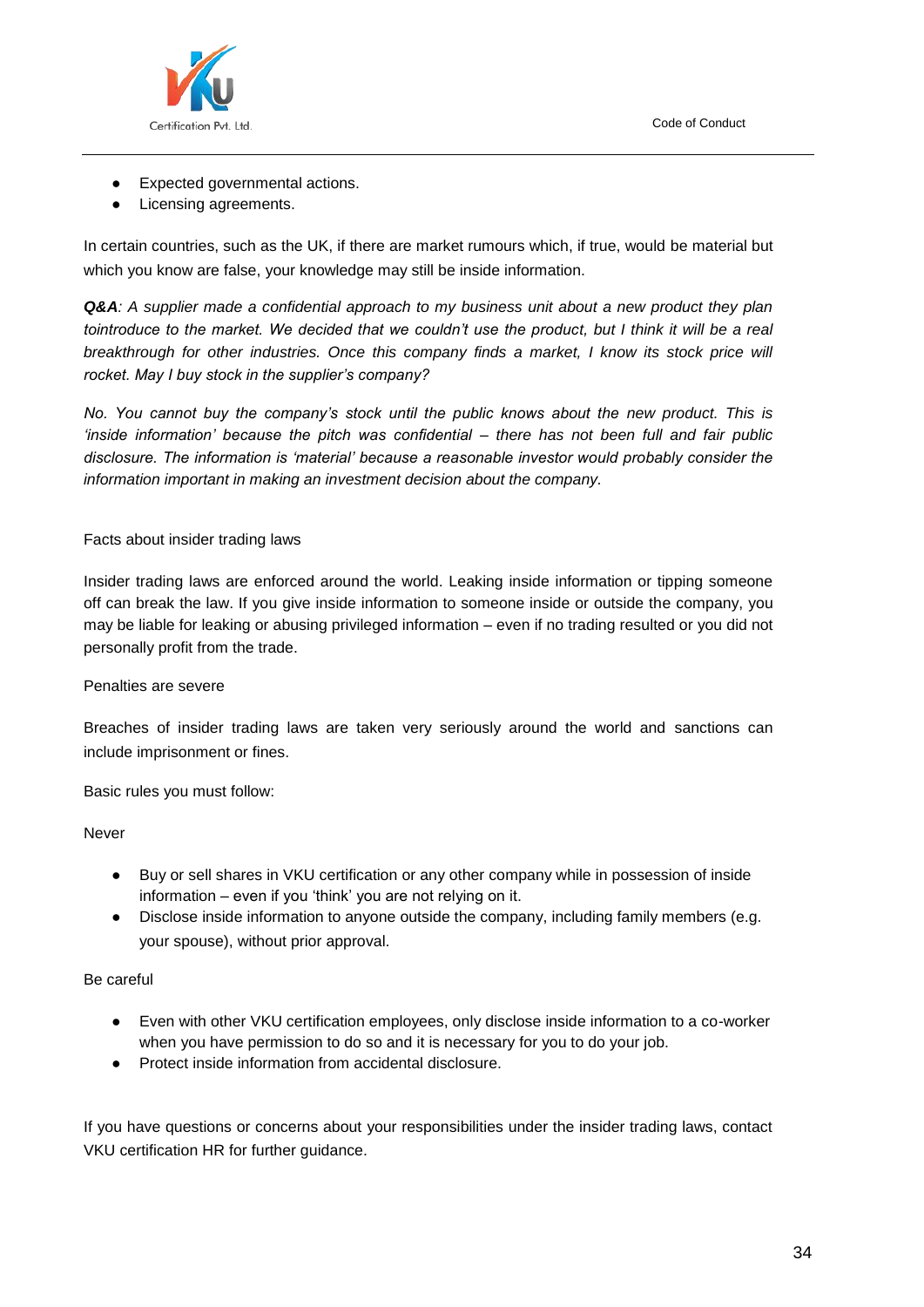

- Expected governmental actions.
- Licensing agreements.

In certain countries, such as the UK, if there are market rumours which, if true, would be material but which you know are false, your knowledge may still be inside information.

*Q&A: A supplier made a confidential approach to my business unit about a new product they plan tointroduce to the market. We decided that we couldn't use the product, but I think it will be a real breakthrough for other industries. Once this company finds a market, I know its stock price will rocket. May I buy stock in the supplier's company?*

*No. You cannot buy the company's stock until the public knows about the new product. This is 'inside information' because the pitch was confidential – there has not been full and fair public disclosure. The information is 'material' because a reasonable investor would probably consider the information important in making an investment decision about the company.*

#### Facts about insider trading laws

Insider trading laws are enforced around the world. Leaking inside information or tipping someone off can break the law. If you give inside information to someone inside or outside the company, you may be liable for leaking or abusing privileged information – even if no trading resulted or you did not personally profit from the trade.

#### Penalties are severe

Breaches of insider trading laws are taken very seriously around the world and sanctions can include imprisonment or fines.

Basic rules you must follow:

Never

- Buy or sell shares in VKU certification or any other company while in possession of inside information – even if you 'think' you are not relying on it.
- Disclose inside information to anyone outside the company, including family members (e.g. your spouse), without prior approval.

#### Be careful

- Even with other VKU certification employees, only disclose inside information to a co-worker when you have permission to do so and it is necessary for you to do your job.
- Protect inside information from accidental disclosure.

If you have questions or concerns about your responsibilities under the insider trading laws, contact VKU certification HR for further guidance.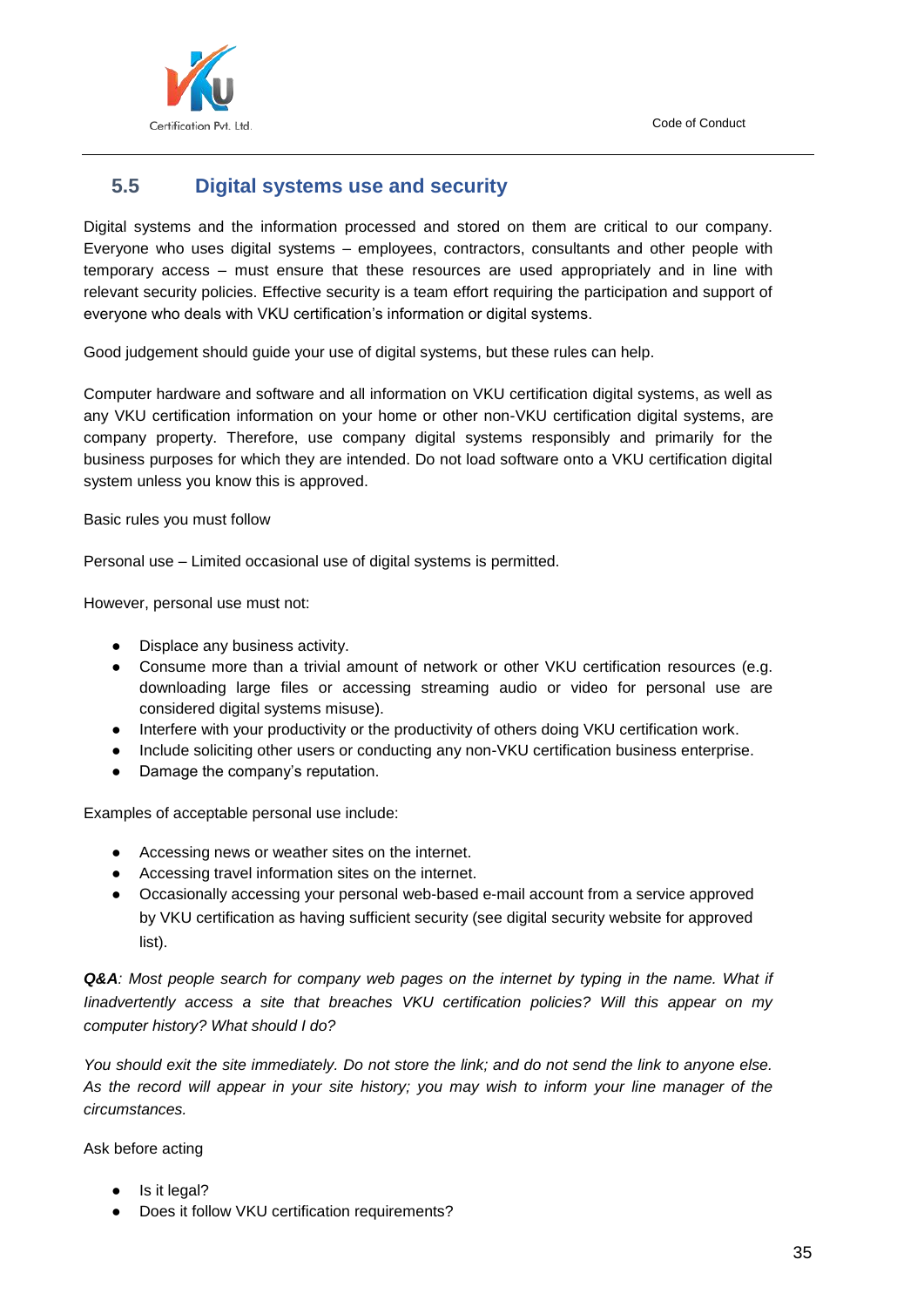Code of Conduct



# **5.5 Digital systems use and security**

Digital systems and the information processed and stored on them are critical to our company. Everyone who uses digital systems – employees, contractors, consultants and other people with temporary access – must ensure that these resources are used appropriately and in line with relevant security policies. Effective security is a team effort requiring the participation and support of everyone who deals with VKU certification's information or digital systems.

Good judgement should guide your use of digital systems, but these rules can help.

Computer hardware and software and all information on VKU certification digital systems, as well as any VKU certification information on your home or other non-VKU certification digital systems, are company property. Therefore, use company digital systems responsibly and primarily for the business purposes for which they are intended. Do not load software onto a VKU certification digital system unless you know this is approved.

Basic rules you must follow

Personal use – Limited occasional use of digital systems is permitted.

However, personal use must not:

- Displace any business activity.
- Consume more than a trivial amount of network or other VKU certification resources (e.g. downloading large files or accessing streaming audio or video for personal use are considered digital systems misuse).
- Interfere with your productivity or the productivity of others doing VKU certification work.
- Include soliciting other users or conducting any non-VKU certification business enterprise.
- Damage the company's reputation.

Examples of acceptable personal use include:

- Accessing news or weather sites on the internet.
- Accessing travel information sites on the internet.
- Occasionally accessing your personal web-based e-mail account from a service approved by VKU certification as having sufficient security (see digital security website for approved list).

*Q&A: Most people search for company web pages on the internet by typing in the name. What if Iinadvertently access a site that breaches VKU certification policies? Will this appear on my computer history? What should I do?*

*You should exit the site immediately. Do not store the link; and do not send the link to anyone else. As the record will appear in your site history; you may wish to inform your line manager of the circumstances.*

Ask before acting

- Is it legal?
- Does it follow VKU certification requirements?